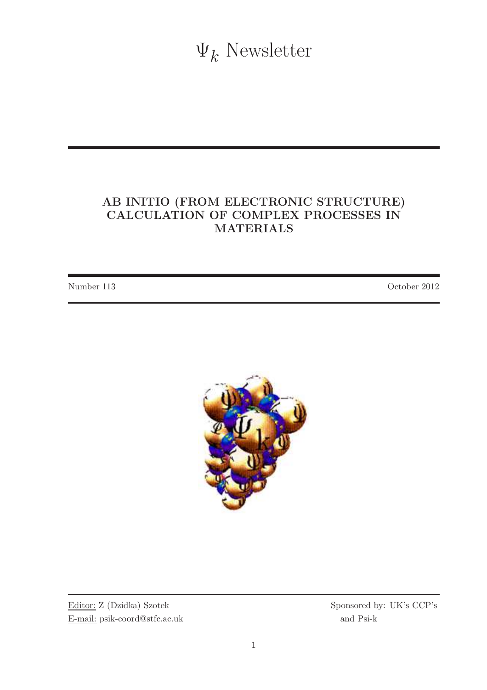$\Psi_k$  Newsletter

# AB INITIO (FROM ELECTRONIC STRUCTURE) CALCULATION OF COMPLEX PROCESSES IN MATERIALS

Number 113 October 2012



Editor: Z (Dzidka) Szotek Sponsored by: UK's CCP's E-mail: psik-coord@stfc.ac.uk and Psi-k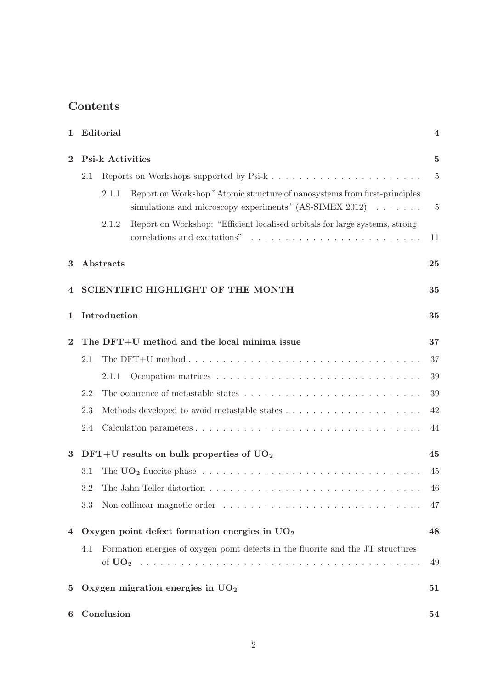# Contents

| 1              |     | Editorial               |                                                                                                                                                            | $\overline{\mathbf{4}}$ |
|----------------|-----|-------------------------|------------------------------------------------------------------------------------------------------------------------------------------------------------|-------------------------|
| $\mathbf{2}$   |     | <b>Psi-k Activities</b> |                                                                                                                                                            | $\overline{5}$          |
|                | 2.1 |                         |                                                                                                                                                            | $\overline{5}$          |
|                |     | 2.1.1                   | Report on Workshop "Atomic structure of nanosystems from first-principles<br>simulations and microscopy experiments" $(AS\text{-SIMEX } 2012) \dots \dots$ | $\overline{5}$          |
|                |     | 2.1.2                   | Report on Workshop: "Efficient localised orbitals for large systems, strong                                                                                | 11                      |
| 3              |     | Abstracts               |                                                                                                                                                            | 25                      |
| 4              |     |                         | <b>SCIENTIFIC HIGHLIGHT OF THE MONTH</b>                                                                                                                   | 35                      |
| 1              |     | Introduction            |                                                                                                                                                            | 35                      |
| $\mathbf{2}$   |     |                         | The DFT+U method and the local minima issue                                                                                                                | 37                      |
|                | 2.1 |                         |                                                                                                                                                            | 37                      |
|                |     | 2.1.1                   |                                                                                                                                                            | 39                      |
|                | 2.2 |                         | The occurence of metastable states $\dots \dots \dots \dots \dots \dots \dots \dots \dots \dots \dots$                                                     | 39                      |
|                | 2.3 |                         |                                                                                                                                                            | 42                      |
|                | 2.4 |                         |                                                                                                                                                            | 44                      |
| $\bf{3}$       |     |                         | $DFT+U$ results on bulk properties of $UO2$                                                                                                                | 45                      |
|                | 3.1 |                         |                                                                                                                                                            | 45                      |
|                | 3.2 |                         |                                                                                                                                                            | 46                      |
|                | 3.3 |                         |                                                                                                                                                            | 47                      |
| $\overline{4}$ |     |                         | Oxygen point defect formation energies in $UO2$                                                                                                            | 48                      |
|                | 4.1 |                         | Formation energies of oxygen point defects in the fluorite and the JT structures                                                                           | 49                      |
| $\bf{5}$       |     |                         | Oxygen migration energies in $UO2$                                                                                                                         | 51                      |
| 6              |     | Conclusion              |                                                                                                                                                            | 54                      |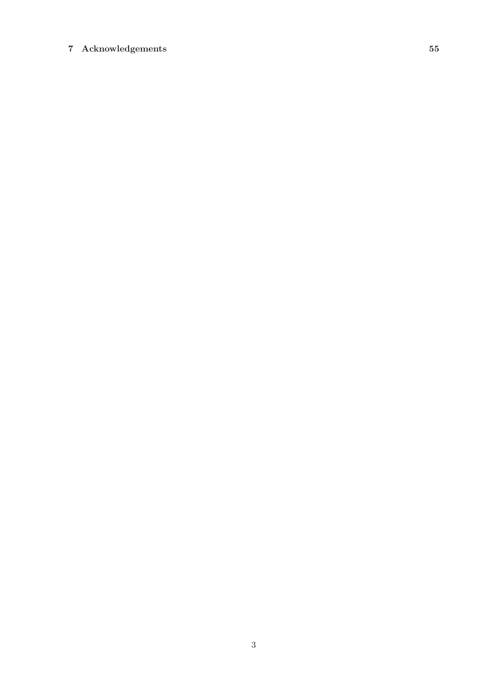# 7 Acknowledgements 55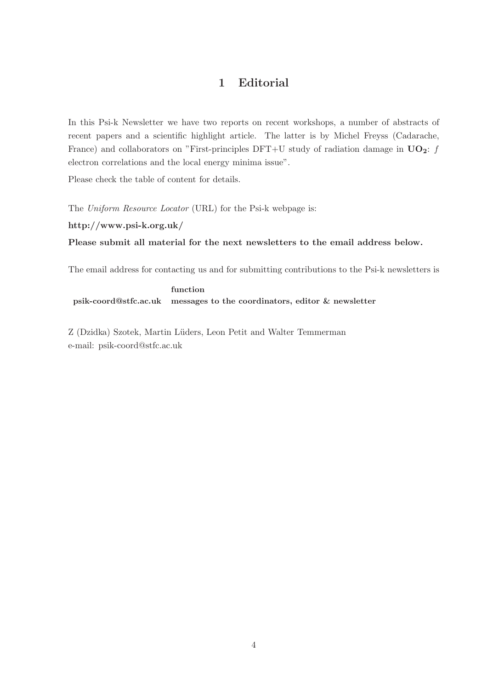# 1 Editorial

In this Psi-k Newsletter we have two reports on recent workshops, a number of abstracts of recent papers and a scientific highlight article. The latter is by Michel Freyss (Cadarache, France) and collaborators on "First-principles DFT+U study of radiation damage in  $UO<sub>2</sub>$ : *f* electron correlations and the local energy minima issue".

Please check the table of content for details.

The *Uniform Resource Locator* (URL) for the Psi-k webpage is:

http://www.psi-k.org.uk/

Please submit all material for the next newsletters to the email address below.

The email address for contacting us and for submitting contributions to the Psi-k newsletters is

function psik-coord@stfc.ac.uk messages to the coordinators, editor & newsletter

Z (Dzidka) Szotek, Martin L¨uders, Leon Petit and Walter Temmerman e-mail: psik-coord@stfc.ac.uk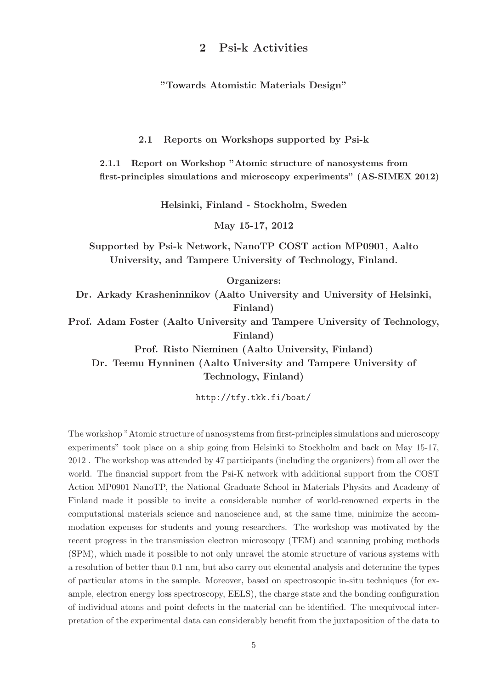# 2 Psi-k Activities

"Towards Atomistic Materials Design"

2.1 Reports on Workshops supported by Psi-k

2.1.1 Report on Workshop "Atomic structure of nanosystems from first-principles simulations and microscopy experiments" (AS-SIMEX 2012)

Helsinki, Finland - Stockholm, Sweden

May 15-17, 2012

Supported by Psi-k Network, NanoTP COST action MP0901, Aalto University, and Tampere University of Technology, Finland.

Organizers:

Dr. Arkady Krasheninnikov (Aalto University and University of Helsinki, Finland)

Prof. Adam Foster (Aalto University and Tampere University of Technology, Finland)

Prof. Risto Nieminen (Aalto University, Finland)

Dr. Teemu Hynninen (Aalto University and Tampere University of Technology, Finland)

http://tfy.tkk.fi/boat/

The workshop "Atomic structure of nanosystems from first-principles simulations and microscopy experiments" took place on a ship going from Helsinki to Stockholm and back on May 15-17, 2012 . The workshop was attended by 47 participants (including the organizers) from all over the world. The financial support from the Psi-K network with additional support from the COST Action MP0901 NanoTP, the National Graduate School in Materials Physics and Academy of Finland made it possible to invite a considerable number of world-renowned experts in the computational materials science and nanoscience and, at the same time, minimize the accommodation expenses for students and young researchers. The workshop was motivated by the recent progress in the transmission electron microscopy (TEM) and scanning probing methods (SPM), which made it possible to not only unravel the atomic structure of various systems with a resolution of better than 0.1 nm, but also carry out elemental analysis and determine the types of particular atoms in the sample. Moreover, based on spectroscopic in-situ techniques (for example, electron energy loss spectroscopy, EELS), the charge state and the bonding configuration of individual atoms and point defects in the material can be identified. The unequivocal interpretation of the experimental data can considerably benefit from the juxtaposition of the data to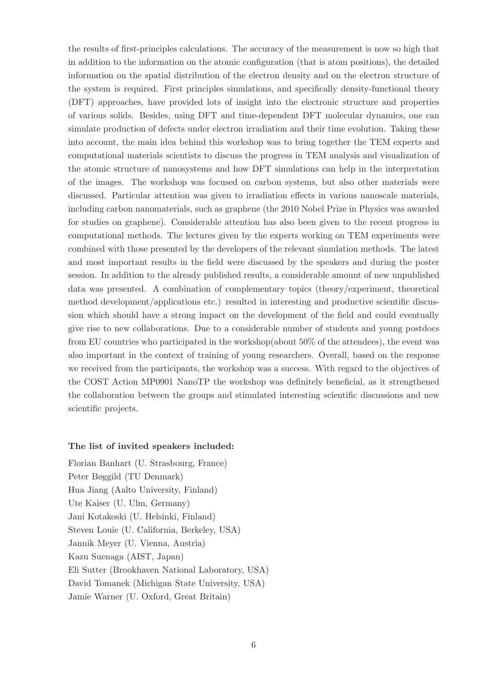the results of first-principles calculations. The accuracy of the measurement is now so high that in addition to the information on the atomic configuration (that is atom positions), the detailed information on the spatial distribution of the electron density and on the electron structure of the system is required. First principles simulations, and specifically density-functional theory (DFT) approaches, have provided lots of insight into the electronic structure and properties of various solids. Besides, using DFT and time-dependent DFT molecular dynamics, one can simulate production of defects under electron irradiation and their time evolution. Taking these into account, the main idea behind this workshop was to bring together the TEM experts and computational materials scientists to discuss the progress in TEM analysis and visualization of the atomic structure of nanosystems and how DFT simulations can help in the interpretation of the images. The workshop was focused on carbon systems, but also other materials were discussed. Particular attention was given to irradiation effects in various nanoscale materials, including carbon nanomaterials, such as graphene (the 2010 Nobel Prize in Physics was awarded for studies on graphene). Considerable attention has also been given to the recent progress in computational methods. The lectures given by the experts working on TEM experiments were combined with those presented by the developers of the relevant simulation methods. The latest and most important results in the field were discussed by the speakers and during the poster session. In addition to the already published results, a considerable amount of new unpublished data was presented. A combination of complementary topics (theory/experiment, theoretical method development/applications etc.) resulted in interesting and productive scientific discussion which should have a strong impact on the development of the field and could eventually give rise to new collaborations. Due to a considerable number of students and young postdocs from EU countries who participated in the workshop(about 50% of the attendees), the event was also important in the context of training of young researchers. Overall, based on the response we received from the participants, the workshop was a success. With regard to the objectives of the COST Action MP0901 NanoTP the workshop was definitely beneficial, as it strengthened the collaboration between the groups and stimulated interesting scientific discussions and new scientific projects.

### The list of invited speakers included:

Florian Banhart (U. Strasbourg, France) Peter Bøggild (TU Denmark) Hua Jiang (Aalto University, Finland) Ute Kaiser (U. Ulm, Germany) Jani Kotakoski (U. Helsinki, Finland) Steven Louie (U. California, Berkeley, USA) Jannik Meyer (U. Vienna, Austria) Kazu Suenaga (AIST, Japan) Eli Sutter (Brookhaven National Laboratory, USA) David Tomanek (Michigan State University, USA) Jamie Warner (U. Oxford, Great Britain)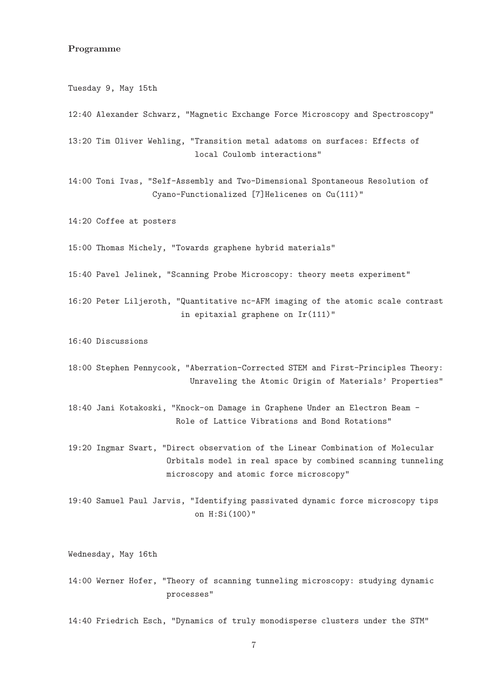## Programme

Tuesday 9, May 15th

12:40 Alexander Schwarz, "Magnetic Exchange Force Microscopy and Spectroscopy"

13:20 Tim Oliver Wehling, "Transition metal adatoms on surfaces: Effects of local Coulomb interactions"

14:00 Toni Ivas, "Self-Assembly and Two-Dimensional Spontaneous Resolution of Cyano-Functionalized [7]Helicenes on Cu(111)"

14:20 Coffee at posters

15:00 Thomas Michely, "Towards graphene hybrid materials"

15:40 Pavel Jelinek, "Scanning Probe Microscopy: theory meets experiment"

16:20 Peter Liljeroth, "Quantitative nc-AFM imaging of the atomic scale contrast in epitaxial graphene on Ir(111)"

16:40 Discussions

18:00 Stephen Pennycook, "Aberration-Corrected STEM and First-Principles Theory: Unraveling the Atomic Origin of Materials' Properties"

18:40 Jani Kotakoski, "Knock-on Damage in Graphene Under an Electron Beam - Role of Lattice Vibrations and Bond Rotations"

- 19:20 Ingmar Swart, "Direct observation of the Linear Combination of Molecular Orbitals model in real space by combined scanning tunneling microscopy and atomic force microscopy"
- 19:40 Samuel Paul Jarvis, "Identifying passivated dynamic force microscopy tips on H:Si(100)"

Wednesday, May 16th

14:00 Werner Hofer, "Theory of scanning tunneling microscopy: studying dynamic processes"

14:40 Friedrich Esch, "Dynamics of truly monodisperse clusters under the STM"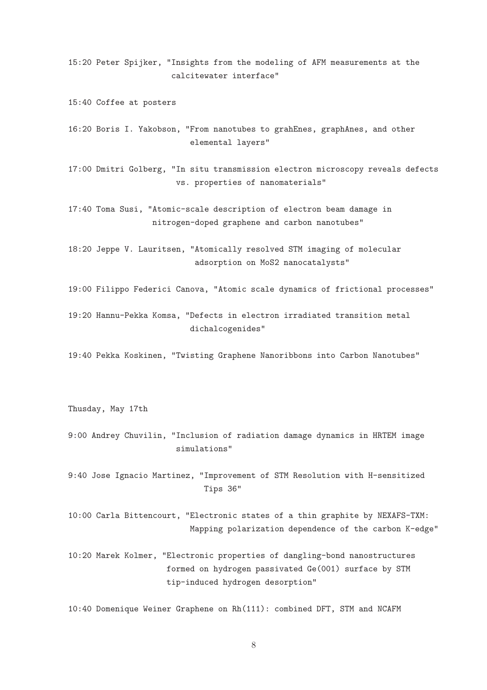15:20 Peter Spijker, "Insights from the modeling of AFM measurements at the calcitewater interface"

15:40 Coffee at posters

16:20 Boris I. Yakobson, "From nanotubes to grahEnes, graphAnes, and other elemental layers"

17:00 Dmitri Golberg, "In situ transmission electron microscopy reveals defects vs. properties of nanomaterials"

17:40 Toma Susi, "Atomic-scale description of electron beam damage in nitrogen-doped graphene and carbon nanotubes"

18:20 Jeppe V. Lauritsen, "Atomically resolved STM imaging of molecular adsorption on MoS2 nanocatalysts"

19:00 Filippo Federici Canova, "Atomic scale dynamics of frictional processes"

19:20 Hannu-Pekka Komsa, "Defects in electron irradiated transition metal dichalcogenides"

19:40 Pekka Koskinen, "Twisting Graphene Nanoribbons into Carbon Nanotubes"

Thusday, May 17th

9:00 Andrey Chuvilin, "Inclusion of radiation damage dynamics in HRTEM image simulations"

9:40 Jose Ignacio Martinez, "Improvement of STM Resolution with H-sensitized Tips 36"

10:00 Carla Bittencourt, "Electronic states of a thin graphite by NEXAFS-TXM: Mapping polarization dependence of the carbon K-edge"

10:20 Marek Kolmer, "Electronic properties of dangling-bond nanostructures formed on hydrogen passivated Ge(001) surface by STM tip-induced hydrogen desorption"

10:40 Domenique Weiner Graphene on Rh(111): combined DFT, STM and NCAFM

8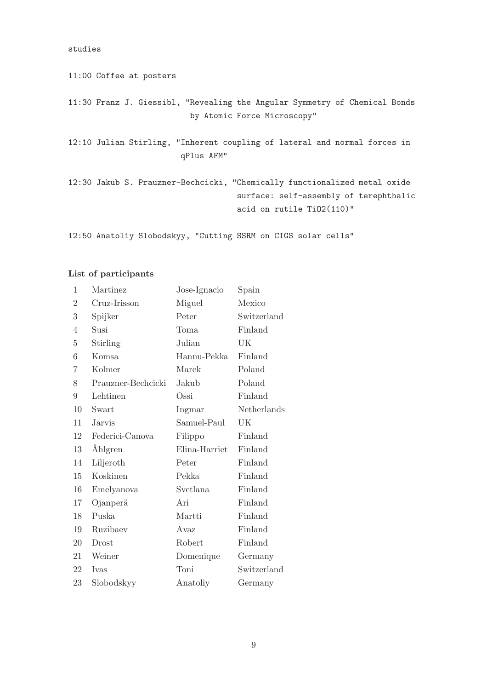```
studies
```

```
11:00 Coffee at posters
11:30 Franz J. Giessibl, "Revealing the Angular Symmetry of Chemical Bonds
                          by Atomic Force Microscopy"
12:10 Julian Stirling, "Inherent coupling of lateral and normal forces in
                        qPlus AFM"
12:30 Jakub S. Prauzner-Bechcicki, "Chemically functionalized metal oxide
                                    surface: self-assembly of terephthalic
                                    acid on rutile TiO2(110)"
```
12:50 Anatoliy Slobodskyy, "Cutting SSRM on CIGS solar cells"

## List of participants

| $\mathbf{1}$     | Martinez           | Jose-Ignacio  | Spain       |
|------------------|--------------------|---------------|-------------|
| $\overline{2}$   | Cruz-Irisson       | Miguel        | Mexico      |
| $\boldsymbol{3}$ | Spijker            | Peter         | Switzerland |
| $\overline{4}$   | Susi               | Toma          | Finland     |
| $\overline{5}$   | Stirling           | Julian        | UK          |
| $\sqrt{6}$       | Komsa              | Hannu-Pekka   | Finland     |
| 7                | Kolmer             | Marek         | Poland      |
| 8                | Prauzner-Bechcicki | Jakub         | Poland      |
| 9                | Lehtinen           | Ossi          | Finland     |
| 10               | Swart              | Ingmar        | Netherlands |
| 11               | <b>Jarvis</b>      | Samuel-Paul   | UK          |
| 12               | Federici-Canova    | Filippo       | Finland     |
| 13               | Åhlgren            | Elina-Harriet | Finland     |
| 14               | Liljeroth          | Peter         | Finland     |
| 15               | Koskinen           | Pekka         | Finland     |
| 16               | Emelyanova         | Svetlana      | Finland     |
| 17               | Ojanperä           | Ari           | Finland     |
| 18               | Puska              | Martti        | Finland     |
| 19               | Ruzibaev           | Avaz          | Finland     |
| 20               | Drost              | Robert        | Finland     |
| 21               | Weiner             | Domenique     | Germany     |
| 22               | Ivas               | Toni          | Switzerland |
| 23               | Slobodskyy         | Anatoliy      | Germany     |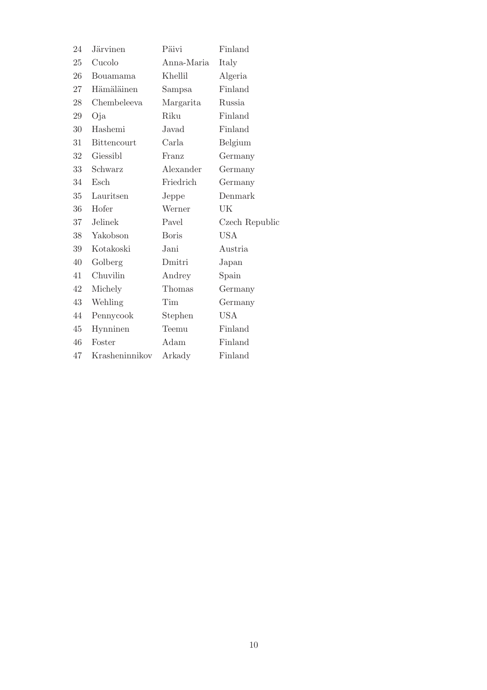| 24              | Järvinen           | Päivi        | Finland        |
|-----------------|--------------------|--------------|----------------|
| 25              | Cucolo             | Anna-Maria   | Italy          |
| 26              | Bouamama           | Khellil      | Algeria        |
| 27              | Hämäläinen         | Sampsa       | Finland        |
| 28              | Chembeleeva        | Margarita    | Russia         |
| 29              | Oja                | Riku         | Finland        |
| 30              | Hashemi            | Javad        | Finland        |
| 31              | <b>Bittencourt</b> | Carla        | Belgium        |
| 32              | Giessibl           | Franz        | Germany        |
| 33              | Schwarz            | Alexander    | Germany        |
| 34              | Esch               | Friedrich    | Germany        |
| 35 <sub>1</sub> | Lauritsen          | Jeppe        | Denmark        |
| 36              | Hofer              | Werner       | UK             |
| 37              | Jelinek            | Pavel        | Czech Republic |
| 38              | Yakobson           | <b>Boris</b> | <b>USA</b>     |
| 39              | Kotakoski          | Jani         | Austria        |
| 40              | Golberg            | Dmitri       | Japan          |
| 41              | Chuvilin           | Andrey       | Spain          |
| 42              | Michely            | Thomas       | Germany        |
| 43              | Wehling            | Tim          | Germany        |
| 44              | Pennycook          | Stephen      | <b>USA</b>     |
| 45              | Hynninen           | Teemu        | Finland        |
| 46              | Foster             | Adam         | Finland        |
| 47              | Krasheninnikov     | Arkady       | Finland        |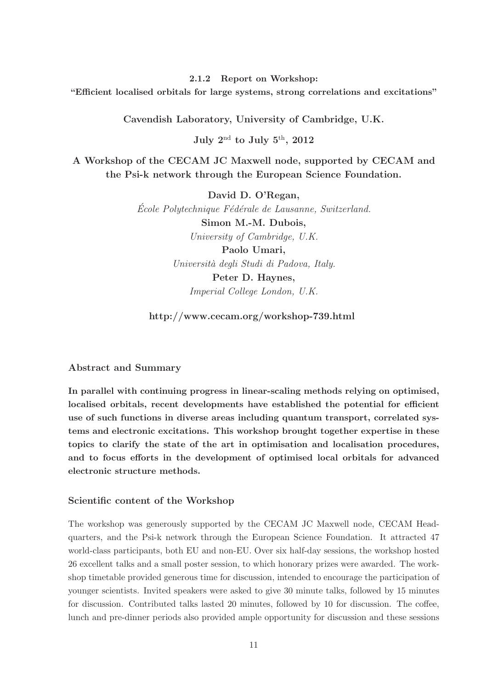2.1.2 Report on Workshop:

"Efficient localised orbitals for large systems, strong correlations and excitations"

Cavendish Laboratory, University of Cambridge, U.K.

July  $2<sup>nd</sup>$  to July  $5<sup>th</sup>$ , 2012

A Workshop of the CECAM JC Maxwell node, supported by CECAM and the Psi-k network through the European Science Foundation.

> David D. O'Regan, École Polytechnique Fédérale de Lausanne, Switzerland. Simon M.-M. Dubois, University of Cambridge, U.K. Paolo Umari, Università degli Studi di Padova, Italy. Peter D. Haynes, Imperial College London, U.K.

http://www.cecam.org/workshop-739.html

Abstract and Summary

In parallel with continuing progress in linear-scaling methods relying on optimised, localised orbitals, recent developments have established the potential for efficient use of such functions in diverse areas including quantum transport, correlated systems and electronic excitations. This workshop brought together expertise in these topics to clarify the state of the art in optimisation and localisation procedures, and to focus efforts in the development of optimised local orbitals for advanced electronic structure methods.

## Scientific content of the Workshop

The workshop was generously supported by the CECAM JC Maxwell node, CECAM Headquarters, and the Psi-k network through the European Science Foundation. It attracted 47 world-class participants, both EU and non-EU. Over six half-day sessions, the workshop hosted 26 excellent talks and a small poster session, to which honorary prizes were awarded. The workshop timetable provided generous time for discussion, intended to encourage the participation of younger scientists. Invited speakers were asked to give 30 minute talks, followed by 15 minutes for discussion. Contributed talks lasted 20 minutes, followed by 10 for discussion. The coffee, lunch and pre-dinner periods also provided ample opportunity for discussion and these sessions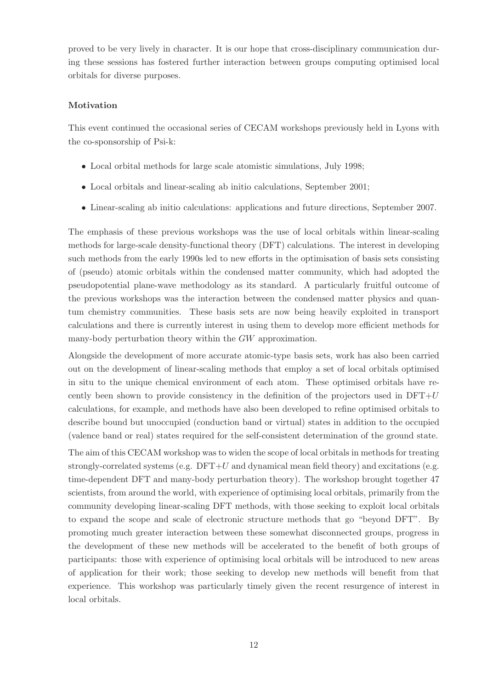proved to be very lively in character. It is our hope that cross-disciplinary communication during these sessions has fostered further interaction between groups computing optimised local orbitals for diverse purposes.

## Motivation

This event continued the occasional series of CECAM workshops previously held in Lyons with the co-sponsorship of Psi-k:

- Local orbital methods for large scale atomistic simulations, July 1998;
- Local orbitals and linear-scaling ab initio calculations, September 2001;
- Linear-scaling ab initio calculations: applications and future directions, September 2007.

The emphasis of these previous workshops was the use of local orbitals within linear-scaling methods for large-scale density-functional theory (DFT) calculations. The interest in developing such methods from the early 1990s led to new efforts in the optimisation of basis sets consisting of (pseudo) atomic orbitals within the condensed matter community, which had adopted the pseudopotential plane-wave methodology as its standard. A particularly fruitful outcome of the previous workshops was the interaction between the condensed matter physics and quantum chemistry communities. These basis sets are now being heavily exploited in transport calculations and there is currently interest in using them to develop more efficient methods for many-body perturbation theory within the GW approximation.

Alongside the development of more accurate atomic-type basis sets, work has also been carried out on the development of linear-scaling methods that employ a set of local orbitals optimised in situ to the unique chemical environment of each atom. These optimised orbitals have recently been shown to provide consistency in the definition of the projectors used in  $DFT+U$ calculations, for example, and methods have also been developed to refine optimised orbitals to describe bound but unoccupied (conduction band or virtual) states in addition to the occupied (valence band or real) states required for the self-consistent determination of the ground state.

The aim of this CECAM workshop was to widen the scope of local orbitals in methods for treating strongly-correlated systems (e.g.  $DFT+U$  and dynamical mean field theory) and excitations (e.g. time-dependent DFT and many-body perturbation theory). The workshop brought together 47 scientists, from around the world, with experience of optimising local orbitals, primarily from the community developing linear-scaling DFT methods, with those seeking to exploit local orbitals to expand the scope and scale of electronic structure methods that go "beyond DFT". By promoting much greater interaction between these somewhat disconnected groups, progress in the development of these new methods will be accelerated to the benefit of both groups of participants: those with experience of optimising local orbitals will be introduced to new areas of application for their work; those seeking to develop new methods will benefit from that experience. This workshop was particularly timely given the recent resurgence of interest in local orbitals.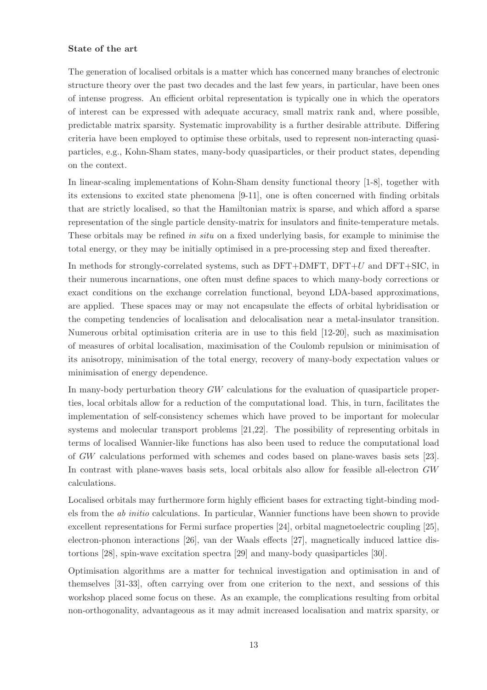## State of the art

The generation of localised orbitals is a matter which has concerned many branches of electronic structure theory over the past two decades and the last few years, in particular, have been ones of intense progress. An efficient orbital representation is typically one in which the operators of interest can be expressed with adequate accuracy, small matrix rank and, where possible, predictable matrix sparsity. Systematic improvability is a further desirable attribute. Differing criteria have been employed to optimise these orbitals, used to represent non-interacting quasiparticles, e.g., Kohn-Sham states, many-body quasiparticles, or their product states, depending on the context.

In linear-scaling implementations of Kohn-Sham density functional theory [1-8], together with its extensions to excited state phenomena [9-11], one is often concerned with finding orbitals that are strictly localised, so that the Hamiltonian matrix is sparse, and which afford a sparse representation of the single particle density-matrix for insulators and finite-temperature metals. These orbitals may be refined *in situ* on a fixed underlying basis, for example to minimise the total energy, or they may be initially optimised in a pre-processing step and fixed thereafter.

In methods for strongly-correlated systems, such as  $DFT+DMFT$ ,  $DFT+U$  and  $DFT+SIC$ , in their numerous incarnations, one often must define spaces to which many-body corrections or exact conditions on the exchange correlation functional, beyond LDA-based approximations, are applied. These spaces may or may not encapsulate the effects of orbital hybridisation or the competing tendencies of localisation and delocalisation near a metal-insulator transition. Numerous orbital optimisation criteria are in use to this field [12-20], such as maximisation of measures of orbital localisation, maximisation of the Coulomb repulsion or minimisation of its anisotropy, minimisation of the total energy, recovery of many-body expectation values or minimisation of energy dependence.

In many-body perturbation theory GW calculations for the evaluation of quasiparticle properties, local orbitals allow for a reduction of the computational load. This, in turn, facilitates the implementation of self-consistency schemes which have proved to be important for molecular systems and molecular transport problems [21,22]. The possibility of representing orbitals in terms of localised Wannier-like functions has also been used to reduce the computational load of GW calculations performed with schemes and codes based on plane-waves basis sets [23]. In contrast with plane-waves basis sets, local orbitals also allow for feasible all-electron GW calculations.

Localised orbitals may furthermore form highly efficient bases for extracting tight-binding models from the *ab initio* calculations. In particular, Wannier functions have been shown to provide excellent representations for Fermi surface properties [24], orbital magnetoelectric coupling [25], electron-phonon interactions [26], van der Waals effects [27], magnetically induced lattice distortions [28], spin-wave excitation spectra [29] and many-body quasiparticles [30].

Optimisation algorithms are a matter for technical investigation and optimisation in and of themselves [31-33], often carrying over from one criterion to the next, and sessions of this workshop placed some focus on these. As an example, the complications resulting from orbital non-orthogonality, advantageous as it may admit increased localisation and matrix sparsity, or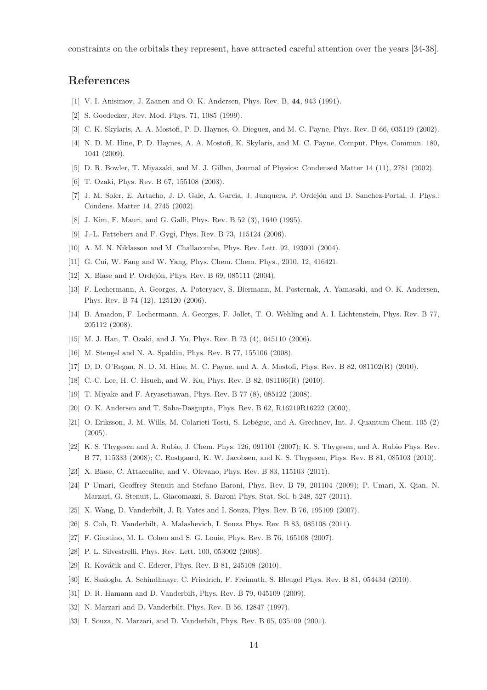constraints on the orbitals they represent, have attracted careful attention over the years [34-38].

# References

- [1] V. I. Anisimov, J. Zaanen and O. K. Andersen, Phys. Rev. B, 44, 943 (1991).
- [2] S. Goedecker, Rev. Mod. Phys. 71, 1085 (1999).
- [3] C. K. Skylaris, A. A. Mostofi, P. D. Haynes, O. Dieguez, and M. C. Payne, Phys. Rev. B 66, 035119 (2002).
- [4] N. D. M. Hine, P. D. Haynes, A. A. Mostofi, K. Skylaris, and M. C. Payne, Comput. Phys. Commun. 180, 1041 (2009).
- [5] D. R. Bowler, T. Miyazaki, and M. J. Gillan, Journal of Physics: Condensed Matter 14 (11), 2781 (2002).
- [6] T. Ozaki, Phys. Rev. B 67, 155108 (2003).
- [7] J. M. Soler, E. Artacho, J. D. Gale, A. Garcia, J. Junquera, P. Ordejón and D. Sanchez-Portal, J. Phys.: Condens. Matter 14, 2745 (2002).
- [8] J. Kim, F. Mauri, and G. Galli, Phys. Rev. B 52 (3), 1640 (1995).
- [9] J.-L. Fattebert and F. Gygi, Phys. Rev. B 73, 115124 (2006).
- [10] A. M. N. Niklasson and M. Challacombe, Phys. Rev. Lett. 92, 193001 (2004).
- [11] G. Cui, W. Fang and W. Yang, Phys. Chem. Chem. Phys., 2010, 12, 416421.
- [12] X. Blase and P. Ordejón, Phys. Rev. B 69, 085111 (2004).
- [13] F. Lechermann, A. Georges, A. Poteryaev, S. Biermann, M. Posternak, A. Yamasaki, and O. K. Andersen, Phys. Rev. B 74 (12), 125120 (2006).
- [14] B. Amadon, F. Lechermann, A. Georges, F. Jollet, T. O. Wehling and A. I. Lichtenstein, Phys. Rev. B 77, 205112 (2008).
- [15] M. J. Han, T. Ozaki, and J. Yu, Phys. Rev. B 73 (4), 045110 (2006).
- [16] M. Stengel and N. A. Spaldin, Phys. Rev. B 77, 155106 (2008).
- [17] D. D. O'Regan, N. D. M. Hine, M. C. Payne, and A. A. Mostofi, Phys. Rev. B 82, 081102(R) (2010).
- [18] C.-C. Lee, H. C. Hsueh, and W. Ku, Phys. Rev. B 82, 081106(R) (2010).
- [19] T. Miyake and F. Aryasetiawan, Phys. Rev. B 77 (8), 085122 (2008).
- [20] O. K. Andersen and T. Saha-Dasgupta, Phys. Rev. B 62, R16219R16222 (2000).
- [21] O. Eriksson, J. M. Wills, M. Colarieti-Tosti, S. Lebégue, and A. Grechnev, Int. J. Quantum Chem. 105 (2) (2005).
- [22] K. S. Thygesen and A. Rubio, J. Chem. Phys. 126, 091101 (2007); K. S. Thygesen, and A. Rubio Phys. Rev. B 77, 115333 (2008); C. Rostgaard, K. W. Jacobsen, and K. S. Thygesen, Phys. Rev. B 81, 085103 (2010).
- [23] X. Blase, C. Attaccalite, and V. Olevano, Phys. Rev. B 83, 115103 (2011).
- [24] P Umari, Geoffrey Stenuit and Stefano Baroni, Phys. Rev. B 79, 201104 (2009); P. Umari, X. Qian, N. Marzari, G. Stenuit, L. Giacomazzi, S. Baroni Phys. Stat. Sol. b 248, 527 (2011).
- [25] X. Wang, D. Vanderbilt, J. R. Yates and I. Souza, Phys. Rev. B 76, 195109 (2007).
- [26] S. Coh, D. Vanderbilt, A. Malashevich, I. Souza Phys. Rev. B 83, 085108 (2011).
- [27] F. Giustino, M. L. Cohen and S. G. Louie, Phys. Rev. B 76, 165108 (2007).
- [28] P. L. Silvestrelli, Phys. Rev. Lett. 100, 053002 (2008).
- [29] R. Kováčik and C. Ederer, Phys. Rev. B 81, 245108 (2010).
- [30] E. Sasioglu, A. Schindlmayr, C. Friedrich, F. Freimuth, S. Bleugel Phys. Rev. B 81, 054434 (2010).
- [31] D. R. Hamann and D. Vanderbilt, Phys. Rev. B 79, 045109 (2009).
- [32] N. Marzari and D. Vanderbilt, Phys. Rev. B 56, 12847 (1997).
- [33] I. Souza, N. Marzari, and D. Vanderbilt, Phys. Rev. B 65, 035109 (2001).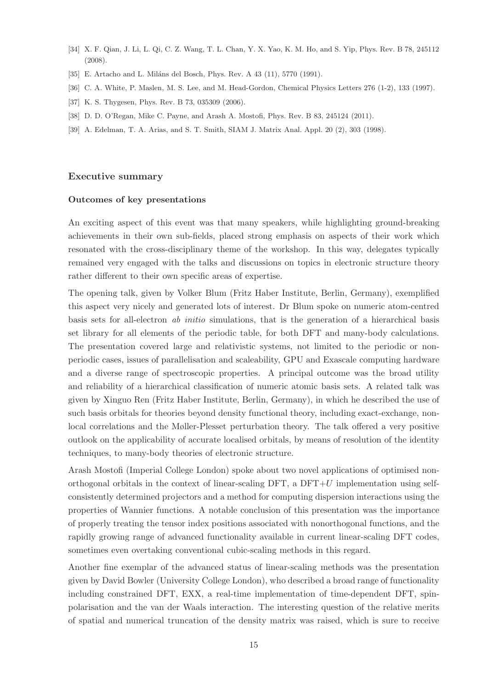- [34] X. F. Qian, J. Li, L. Qi, C. Z. Wang, T. L. Chan, Y. X. Yao, K. M. Ho, and S. Yip, Phys. Rev. B 78, 245112 (2008).
- [35] E. Artacho and L. Miláns del Bosch, Phys. Rev. A 43 (11), 5770 (1991).
- [36] C. A. White, P. Maslen, M. S. Lee, and M. Head-Gordon, Chemical Physics Letters 276 (1-2), 133 (1997).
- [37] K. S. Thygesen, Phys. Rev. B 73, 035309 (2006).
- [38] D. D. O'Regan, Mike C. Payne, and Arash A. Mostofi, Phys. Rev. B 83, 245124 (2011).
- [39] A. Edelman, T. A. Arias, and S. T. Smith, SIAM J. Matrix Anal. Appl. 20 (2), 303 (1998).

### Executive summary

#### Outcomes of key presentations

An exciting aspect of this event was that many speakers, while highlighting ground-breaking achievements in their own sub-fields, placed strong emphasis on aspects of their work which resonated with the cross-disciplinary theme of the workshop. In this way, delegates typically remained very engaged with the talks and discussions on topics in electronic structure theory rather different to their own specific areas of expertise.

The opening talk, given by Volker Blum (Fritz Haber Institute, Berlin, Germany), exemplified this aspect very nicely and generated lots of interest. Dr Blum spoke on numeric atom-centred basis sets for all-electron *ab initio* simulations, that is the generation of a hierarchical basis set library for all elements of the periodic table, for both DFT and many-body calculations. The presentation covered large and relativistic systems, not limited to the periodic or nonperiodic cases, issues of parallelisation and scaleability, GPU and Exascale computing hardware and a diverse range of spectroscopic properties. A principal outcome was the broad utility and reliability of a hierarchical classification of numeric atomic basis sets. A related talk was given by Xinguo Ren (Fritz Haber Institute, Berlin, Germany), in which he described the use of such basis orbitals for theories beyond density functional theory, including exact-exchange, nonlocal correlations and the Møller-Plesset perturbation theory. The talk offered a very positive outlook on the applicability of accurate localised orbitals, by means of resolution of the identity techniques, to many-body theories of electronic structure.

Arash Mostofi (Imperial College London) spoke about two novel applications of optimised nonorthogonal orbitals in the context of linear-scaling DFT, a  $DFT+U$  implementation using selfconsistently determined projectors and a method for computing dispersion interactions using the properties of Wannier functions. A notable conclusion of this presentation was the importance of properly treating the tensor index positions associated with nonorthogonal functions, and the rapidly growing range of advanced functionality available in current linear-scaling DFT codes, sometimes even overtaking conventional cubic-scaling methods in this regard.

Another fine exemplar of the advanced status of linear-scaling methods was the presentation given by David Bowler (University College London), who described a broad range of functionality including constrained DFT, EXX, a real-time implementation of time-dependent DFT, spinpolarisation and the van der Waals interaction. The interesting question of the relative merits of spatial and numerical truncation of the density matrix was raised, which is sure to receive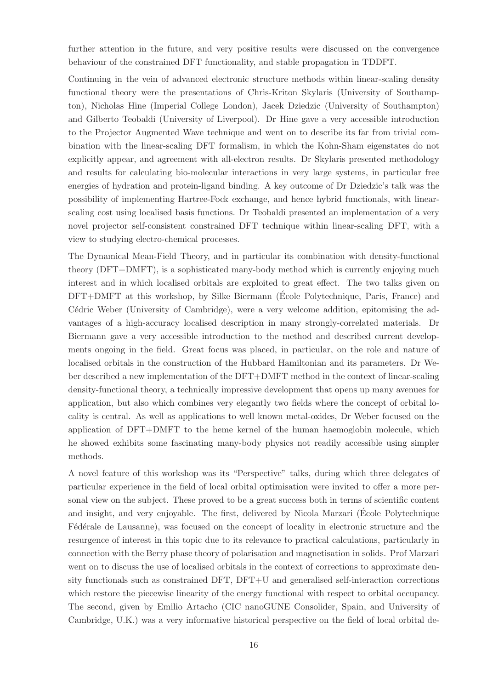further attention in the future, and very positive results were discussed on the convergence behaviour of the constrained DFT functionality, and stable propagation in TDDFT.

Continuing in the vein of advanced electronic structure methods within linear-scaling density functional theory were the presentations of Chris-Kriton Skylaris (University of Southampton), Nicholas Hine (Imperial College London), Jacek Dziedzic (University of Southampton) and Gilberto Teobaldi (University of Liverpool). Dr Hine gave a very accessible introduction to the Projector Augmented Wave technique and went on to describe its far from trivial combination with the linear-scaling DFT formalism, in which the Kohn-Sham eigenstates do not explicitly appear, and agreement with all-electron results. Dr Skylaris presented methodology and results for calculating bio-molecular interactions in very large systems, in particular free energies of hydration and protein-ligand binding. A key outcome of Dr Dziedzic's talk was the possibility of implementing Hartree-Fock exchange, and hence hybrid functionals, with linearscaling cost using localised basis functions. Dr Teobaldi presented an implementation of a very novel projector self-consistent constrained DFT technique within linear-scaling DFT, with a view to studying electro-chemical processes.

The Dynamical Mean-Field Theory, and in particular its combination with density-functional theory (DFT+DMFT), is a sophisticated many-body method which is currently enjoying much interest and in which localised orbitals are exploited to great effect. The two talks given on DFT+DMFT at this workshop, by Silke Biermann (École Polytechnique, Paris, France) and Cédric Weber (University of Cambridge), were a very welcome addition, epitomising the advantages of a high-accuracy localised description in many strongly-correlated materials. Dr Biermann gave a very accessible introduction to the method and described current developments ongoing in the field. Great focus was placed, in particular, on the role and nature of localised orbitals in the construction of the Hubbard Hamiltonian and its parameters. Dr Weber described a new implementation of the DFT+DMFT method in the context of linear-scaling density-functional theory, a technically impressive development that opens up many avenues for application, but also which combines very elegantly two fields where the concept of orbital locality is central. As well as applications to well known metal-oxides, Dr Weber focused on the application of DFT+DMFT to the heme kernel of the human haemoglobin molecule, which he showed exhibits some fascinating many-body physics not readily accessible using simpler methods.

A novel feature of this workshop was its "Perspective" talks, during which three delegates of particular experience in the field of local orbital optimisation were invited to offer a more personal view on the subject. These proved to be a great success both in terms of scientific content and insight, and very enjoyable. The first, delivered by Nicola Marzari (Ecole Polytechnique ´ Fédérale de Lausanne), was focused on the concept of locality in electronic structure and the resurgence of interest in this topic due to its relevance to practical calculations, particularly in connection with the Berry phase theory of polarisation and magnetisation in solids. Prof Marzari went on to discuss the use of localised orbitals in the context of corrections to approximate density functionals such as constrained DFT, DFT+U and generalised self-interaction corrections which restore the piecewise linearity of the energy functional with respect to orbital occupancy. The second, given by Emilio Artacho (CIC nanoGUNE Consolider, Spain, and University of Cambridge, U.K.) was a very informative historical perspective on the field of local orbital de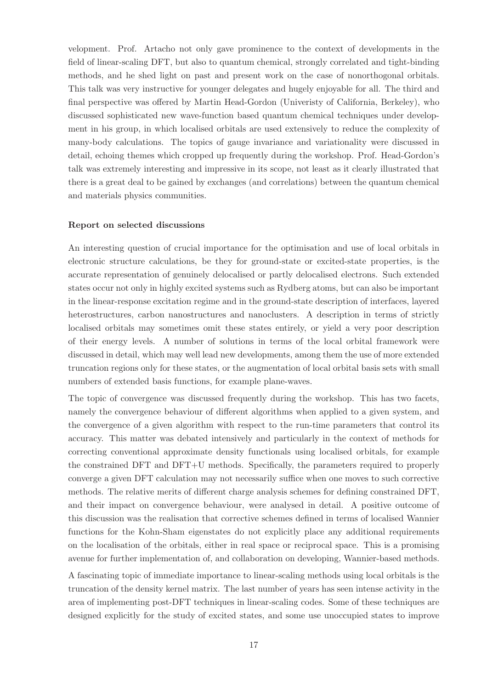velopment. Prof. Artacho not only gave prominence to the context of developments in the field of linear-scaling DFT, but also to quantum chemical, strongly correlated and tight-binding methods, and he shed light on past and present work on the case of nonorthogonal orbitals. This talk was very instructive for younger delegates and hugely enjoyable for all. The third and final perspective was offered by Martin Head-Gordon (Univeristy of California, Berkeley), who discussed sophisticated new wave-function based quantum chemical techniques under development in his group, in which localised orbitals are used extensively to reduce the complexity of many-body calculations. The topics of gauge invariance and variationality were discussed in detail, echoing themes which cropped up frequently during the workshop. Prof. Head-Gordon's talk was extremely interesting and impressive in its scope, not least as it clearly illustrated that there is a great deal to be gained by exchanges (and correlations) between the quantum chemical and materials physics communities.

### Report on selected discussions

An interesting question of crucial importance for the optimisation and use of local orbitals in electronic structure calculations, be they for ground-state or excited-state properties, is the accurate representation of genuinely delocalised or partly delocalised electrons. Such extended states occur not only in highly excited systems such as Rydberg atoms, but can also be important in the linear-response excitation regime and in the ground-state description of interfaces, layered heterostructures, carbon nanostructures and nanoclusters. A description in terms of strictly localised orbitals may sometimes omit these states entirely, or yield a very poor description of their energy levels. A number of solutions in terms of the local orbital framework were discussed in detail, which may well lead new developments, among them the use of more extended truncation regions only for these states, or the augmentation of local orbital basis sets with small numbers of extended basis functions, for example plane-waves.

The topic of convergence was discussed frequently during the workshop. This has two facets, namely the convergence behaviour of different algorithms when applied to a given system, and the convergence of a given algorithm with respect to the run-time parameters that control its accuracy. This matter was debated intensively and particularly in the context of methods for correcting conventional approximate density functionals using localised orbitals, for example the constrained DFT and DFT+U methods. Specifically, the parameters required to properly converge a given DFT calculation may not necessarily suffice when one moves to such corrective methods. The relative merits of different charge analysis schemes for defining constrained DFT, and their impact on convergence behaviour, were analysed in detail. A positive outcome of this discussion was the realisation that corrective schemes defined in terms of localised Wannier functions for the Kohn-Sham eigenstates do not explicitly place any additional requirements on the localisation of the orbitals, either in real space or reciprocal space. This is a promising avenue for further implementation of, and collaboration on developing, Wannier-based methods.

A fascinating topic of immediate importance to linear-scaling methods using local orbitals is the truncation of the density kernel matrix. The last number of years has seen intense activity in the area of implementing post-DFT techniques in linear-scaling codes. Some of these techniques are designed explicitly for the study of excited states, and some use unoccupied states to improve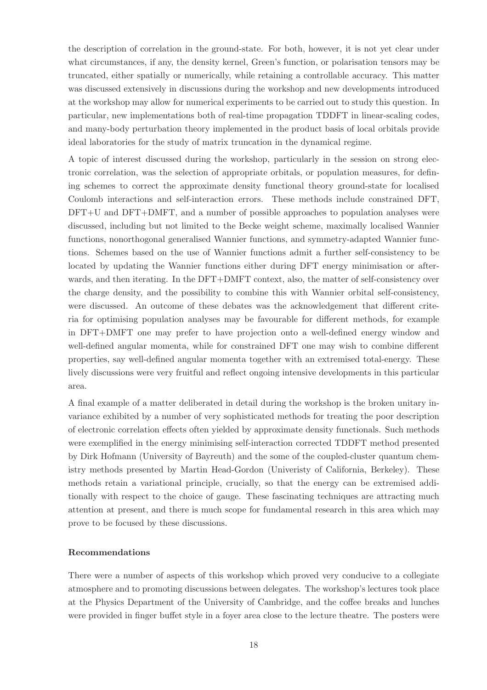the description of correlation in the ground-state. For both, however, it is not yet clear under what circumstances, if any, the density kernel, Green's function, or polarisation tensors may be truncated, either spatially or numerically, while retaining a controllable accuracy. This matter was discussed extensively in discussions during the workshop and new developments introduced at the workshop may allow for numerical experiments to be carried out to study this question. In particular, new implementations both of real-time propagation TDDFT in linear-scaling codes, and many-body perturbation theory implemented in the product basis of local orbitals provide ideal laboratories for the study of matrix truncation in the dynamical regime.

A topic of interest discussed during the workshop, particularly in the session on strong electronic correlation, was the selection of appropriate orbitals, or population measures, for defining schemes to correct the approximate density functional theory ground-state for localised Coulomb interactions and self-interaction errors. These methods include constrained DFT, DFT+U and DFT+DMFT, and a number of possible approaches to population analyses were discussed, including but not limited to the Becke weight scheme, maximally localised Wannier functions, nonorthogonal generalised Wannier functions, and symmetry-adapted Wannier functions. Schemes based on the use of Wannier functions admit a further self-consistency to be located by updating the Wannier functions either during DFT energy minimisation or afterwards, and then iterating. In the DFT+DMFT context, also, the matter of self-consistency over the charge density, and the possibility to combine this with Wannier orbital self-consistency, were discussed. An outcome of these debates was the acknowledgement that different criteria for optimising population analyses may be favourable for different methods, for example in DFT+DMFT one may prefer to have projection onto a well-defined energy window and well-defined angular momenta, while for constrained DFT one may wish to combine different properties, say well-defined angular momenta together with an extremised total-energy. These lively discussions were very fruitful and reflect ongoing intensive developments in this particular area.

A final example of a matter deliberated in detail during the workshop is the broken unitary invariance exhibited by a number of very sophisticated methods for treating the poor description of electronic correlation effects often yielded by approximate density functionals. Such methods were exemplified in the energy minimising self-interaction corrected TDDFT method presented by Dirk Hofmann (University of Bayreuth) and the some of the coupled-cluster quantum chemistry methods presented by Martin Head-Gordon (Univeristy of California, Berkeley). These methods retain a variational principle, crucially, so that the energy can be extremised additionally with respect to the choice of gauge. These fascinating techniques are attracting much attention at present, and there is much scope for fundamental research in this area which may prove to be focused by these discussions.

## Recommendations

There were a number of aspects of this workshop which proved very conducive to a collegiate atmosphere and to promoting discussions between delegates. The workshop's lectures took place at the Physics Department of the University of Cambridge, and the coffee breaks and lunches were provided in finger buffet style in a foyer area close to the lecture theatre. The posters were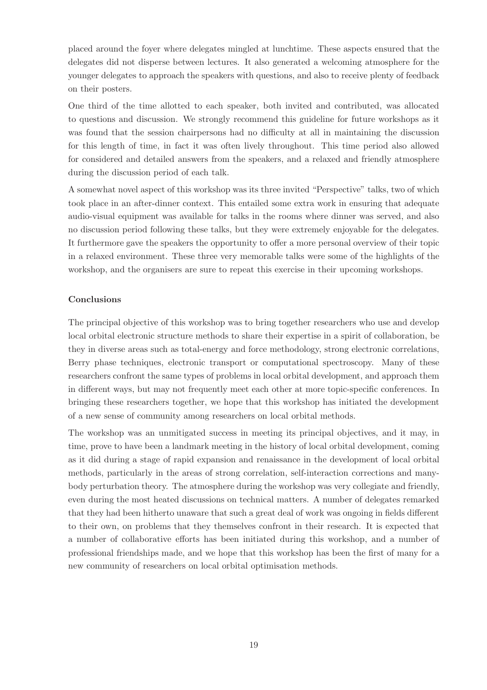placed around the foyer where delegates mingled at lunchtime. These aspects ensured that the delegates did not disperse between lectures. It also generated a welcoming atmosphere for the younger delegates to approach the speakers with questions, and also to receive plenty of feedback on their posters.

One third of the time allotted to each speaker, both invited and contributed, was allocated to questions and discussion. We strongly recommend this guideline for future workshops as it was found that the session chairpersons had no difficulty at all in maintaining the discussion for this length of time, in fact it was often lively throughout. This time period also allowed for considered and detailed answers from the speakers, and a relaxed and friendly atmosphere during the discussion period of each talk.

A somewhat novel aspect of this workshop was its three invited "Perspective" talks, two of which took place in an after-dinner context. This entailed some extra work in ensuring that adequate audio-visual equipment was available for talks in the rooms where dinner was served, and also no discussion period following these talks, but they were extremely enjoyable for the delegates. It furthermore gave the speakers the opportunity to offer a more personal overview of their topic in a relaxed environment. These three very memorable talks were some of the highlights of the workshop, and the organisers are sure to repeat this exercise in their upcoming workshops.

## Conclusions

The principal objective of this workshop was to bring together researchers who use and develop local orbital electronic structure methods to share their expertise in a spirit of collaboration, be they in diverse areas such as total-energy and force methodology, strong electronic correlations, Berry phase techniques, electronic transport or computational spectroscopy. Many of these researchers confront the same types of problems in local orbital development, and approach them in different ways, but may not frequently meet each other at more topic-specific conferences. In bringing these researchers together, we hope that this workshop has initiated the development of a new sense of community among researchers on local orbital methods.

The workshop was an unmitigated success in meeting its principal objectives, and it may, in time, prove to have been a landmark meeting in the history of local orbital development, coming as it did during a stage of rapid expansion and renaissance in the development of local orbital methods, particularly in the areas of strong correlation, self-interaction corrections and manybody perturbation theory. The atmosphere during the workshop was very collegiate and friendly, even during the most heated discussions on technical matters. A number of delegates remarked that they had been hitherto unaware that such a great deal of work was ongoing in fields different to their own, on problems that they themselves confront in their research. It is expected that a number of collaborative efforts has been initiated during this workshop, and a number of professional friendships made, and we hope that this workshop has been the first of many for a new community of researchers on local orbital optimisation methods.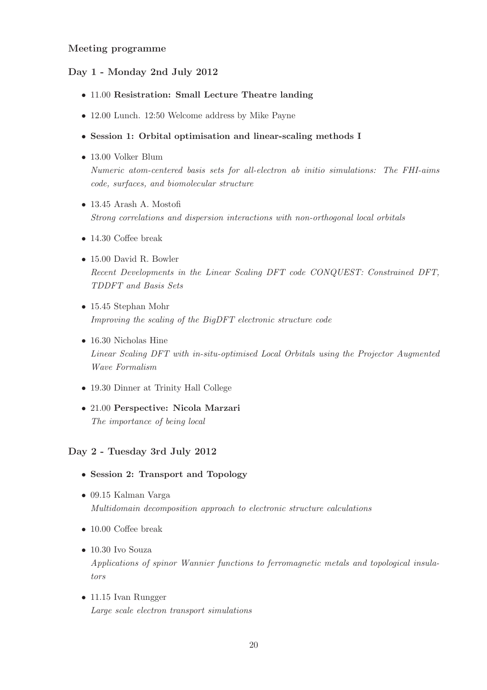## Meeting programme

## Day 1 - Monday 2nd July 2012

- 11.00 Resistration: Small Lecture Theatre landing
- 12.00 Lunch. 12:50 Welcome address by Mike Payne
- Session 1: Orbital optimisation and linear-scaling methods I
- 13.00 Volker Blum *Numeric atom-centered basis sets for all-electron ab initio simulations: The FHI-aims code, surfaces, and biomolecular structure*
- 13.45 Arash A. Mostofi *Strong correlations and dispersion interactions with non-orthogonal local orbitals*
- 14.30 Coffee break
- 15.00 David R. Bowler *Recent Developments in the Linear Scaling DFT code CONQUEST: Constrained DFT, TDDFT and Basis Sets*
- 15.45 Stephan Mohr *Improving the scaling of the BigDFT electronic structure code*
- 16.30 Nicholas Hine *Linear Scaling DFT with in-situ-optimised Local Orbitals using the Projector Augmented Wave Formalism*
- 19.30 Dinner at Trinity Hall College
- 21.00 Perspective: Nicola Marzari *The importance of being local*

# Day 2 - Tuesday 3rd July 2012

- Session 2: Transport and Topology
- 09.15 Kalman Varga *Multidomain decomposition approach to electronic structure calculations*
- 10.00 Coffee break
- 10.30 Ivo Souza *Applications of spinor Wannier functions to ferromagnetic metals and topological insulators*
- 11.15 Ivan Rungger *Large scale electron transport simulations*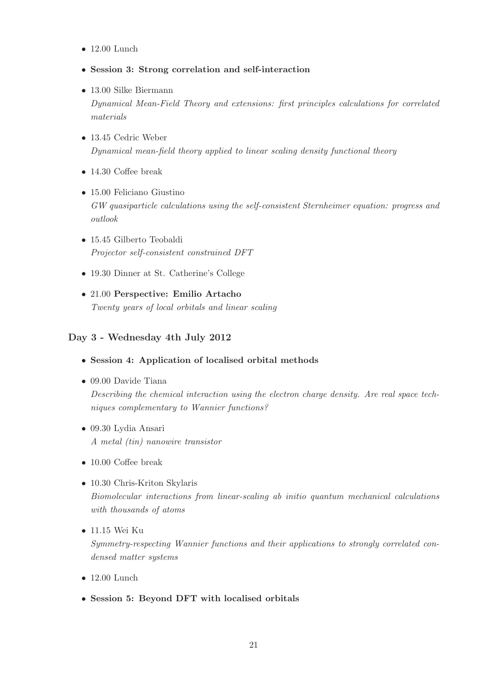- 12.00 Lunch
- Session 3: Strong correlation and self-interaction
- 13.00 Silke Biermann *Dynamical Mean-Field Theory and extensions: first principles calculations for correlated materials*
- 13.45 Cedric Weber *Dynamical mean-field theory applied to linear scaling density functional theory*
- 14.30 Coffee break
- 15.00 Feliciano Giustino *GW quasiparticle calculations using the self-consistent Sternheimer equation: progress and outlook*
- 15.45 Gilberto Teobaldi *Projector self-consistent constrained DFT*
- 19.30 Dinner at St. Catherine's College
- 21.00 Perspective: Emilio Artacho *Twenty years of local orbitals and linear scaling*

## Day 3 - Wednesday 4th July 2012

- Session 4: Application of localised orbital methods
- 09.00 Davide Tiana

*Describing the chemical interaction using the electron charge density. Are real space techniques complementary to Wannier functions?*

- 09.30 Lydia Ansari *A metal (tin) nanowire transistor*
- 10.00 Coffee break
- 10.30 Chris-Kriton Skylaris *Biomolecular interactions from linear-scaling ab initio quantum mechanical calculations with thousands of atoms*
- 11.15 Wei Ku

*Symmetry-respecting Wannier functions and their applications to strongly correlated condensed matter systems*

- 12.00 Lunch
- Session 5: Beyond DFT with localised orbitals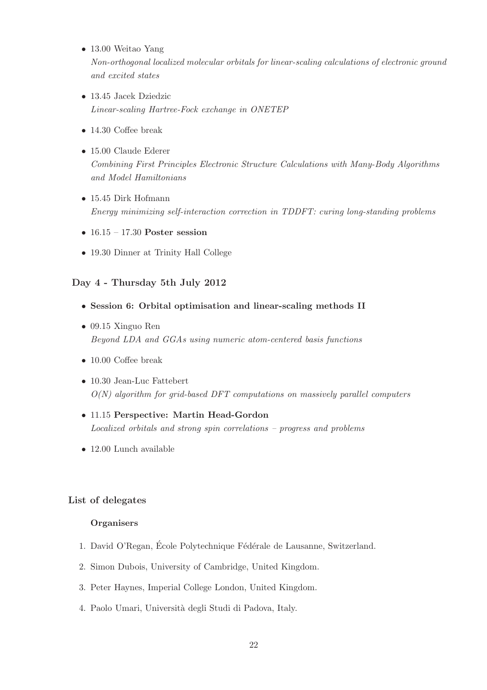- 13.00 Weitao Yang *Non-orthogonal localized molecular orbitals for linear-scaling calculations of electronic ground and excited states*
- 13.45 Jacek Dziedzic *Linear-scaling Hartree-Fock exchange in ONETEP*
- 14.30 Coffee break
- 15.00 Claude Ederer *Combining First Principles Electronic Structure Calculations with Many-Body Algorithms and Model Hamiltonians*
- 15.45 Dirk Hofmann *Energy minimizing self-interaction correction in TDDFT: curing long-standing problems*
- $16.15 17.30$  Poster session
- 19.30 Dinner at Trinity Hall College

# Day 4 - Thursday 5th July 2012

- Session 6: Orbital optimisation and linear-scaling methods II
- 09.15 Xinguo Ren *Beyond LDA and GGAs using numeric atom-centered basis functions*
- 10.00 Coffee break
- 10.30 Jean-Luc Fattebert *O(N) algorithm for grid-based DFT computations on massively parallel computers*
- 11.15 Perspective: Martin Head-Gordon *Localized orbitals and strong spin correlations – progress and problems*
- 12.00 Lunch available

# List of delegates

## **Organisers**

- 1. David O'Regan, École Polytechnique Fédérale de Lausanne, Switzerland.
- 2. Simon Dubois, University of Cambridge, United Kingdom.
- 3. Peter Haynes, Imperial College London, United Kingdom.
- 4. Paolo Umari, Universit`a degli Studi di Padova, Italy.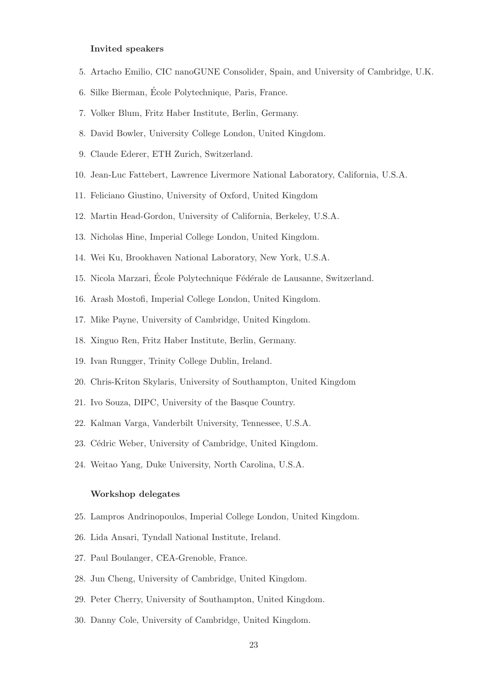### Invited speakers

- 5. Artacho Emilio, CIC nanoGUNE Consolider, Spain, and University of Cambridge, U.K.
- 6. Silke Bierman, Ecole Polytechnique, Paris, France. ´
- 7. Volker Blum, Fritz Haber Institute, Berlin, Germany.
- 8. David Bowler, University College London, United Kingdom.
- 9. Claude Ederer, ETH Zurich, Switzerland.
- 10. Jean-Luc Fattebert, Lawrence Livermore National Laboratory, California, U.S.A.
- 11. Feliciano Giustino, University of Oxford, United Kingdom
- 12. Martin Head-Gordon, University of California, Berkeley, U.S.A.
- 13. Nicholas Hine, Imperial College London, United Kingdom.
- 14. Wei Ku, Brookhaven National Laboratory, New York, U.S.A.
- 15. Nicola Marzari, École Polytechnique Fédérale de Lausanne, Switzerland.
- 16. Arash Mostofi, Imperial College London, United Kingdom.
- 17. Mike Payne, University of Cambridge, United Kingdom.
- 18. Xinguo Ren, Fritz Haber Institute, Berlin, Germany.
- 19. Ivan Rungger, Trinity College Dublin, Ireland.
- 20. Chris-Kriton Skylaris, University of Southampton, United Kingdom
- 21. Ivo Souza, DIPC, University of the Basque Country.
- 22. Kalman Varga, Vanderbilt University, Tennessee, U.S.A.
- 23. Cédric Weber, University of Cambridge, United Kingdom.
- 24. Weitao Yang, Duke University, North Carolina, U.S.A.

#### Workshop delegates

- 25. Lampros Andrinopoulos, Imperial College London, United Kingdom.
- 26. Lida Ansari, Tyndall National Institute, Ireland.
- 27. Paul Boulanger, CEA-Grenoble, France.
- 28. Jun Cheng, University of Cambridge, United Kingdom.
- 29. Peter Cherry, University of Southampton, United Kingdom.
- 30. Danny Cole, University of Cambridge, United Kingdom.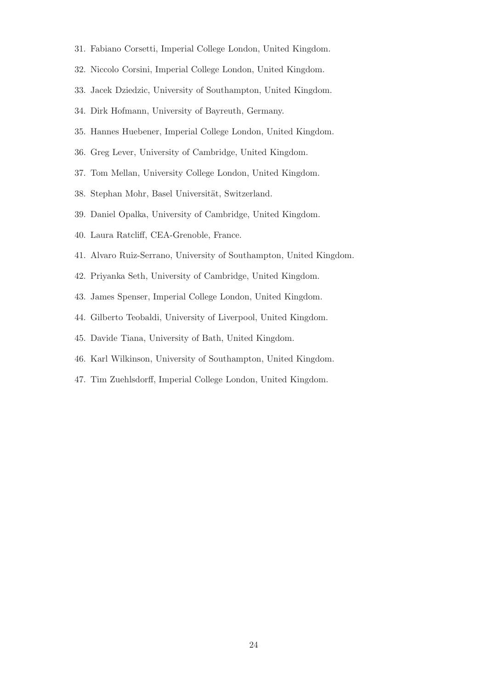- 31. Fabiano Corsetti, Imperial College London, United Kingdom.
- 32. Niccolo Corsini, Imperial College London, United Kingdom.
- 33. Jacek Dziedzic, University of Southampton, United Kingdom.
- 34. Dirk Hofmann, University of Bayreuth, Germany.
- 35. Hannes Huebener, Imperial College London, United Kingdom.
- 36. Greg Lever, University of Cambridge, United Kingdom.
- 37. Tom Mellan, University College London, United Kingdom.
- 38. Stephan Mohr, Basel Universität, Switzerland.
- 39. Daniel Opalka, University of Cambridge, United Kingdom.
- 40. Laura Ratcliff, CEA-Grenoble, France.
- 41. Alvaro Ruiz-Serrano, University of Southampton, United Kingdom.
- 42. Priyanka Seth, University of Cambridge, United Kingdom.
- 43. James Spenser, Imperial College London, United Kingdom.
- 44. Gilberto Teobaldi, University of Liverpool, United Kingdom.
- 45. Davide Tiana, University of Bath, United Kingdom.
- 46. Karl Wilkinson, University of Southampton, United Kingdom.
- 47. Tim Zuehlsdorff, Imperial College London, United Kingdom.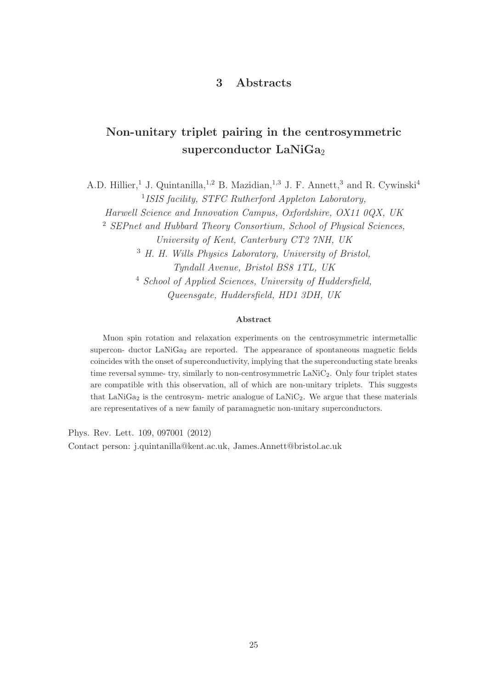# 3 Abstracts

# Non-unitary triplet pairing in the centrosymmetric superconductor  $LaNiGa<sub>2</sub>$

A.D. Hillier,<sup>1</sup> J. Quintanilla,<sup>1,2</sup> B. Mazidian,<sup>1,3</sup> J. F. Annett,<sup>3</sup> and R. Cywinski<sup>4</sup> <sup>1</sup> ISIS facility, STFC Rutherford Appleton Laboratory, Harwell Science and Innovation Campus, Oxfordshire, OX11 0QX, UK

<sup>2</sup> SEPnet and Hubbard Theory Consortium, School of Physical Sciences,

University of Kent, Canterbury CT2 7NH, UK

<sup>3</sup> H. H. Wills Physics Laboratory, University of Bristol, Tyndall Avenue, Bristol BS8 1TL, UK <sup>4</sup> School of Applied Sciences, University of Huddersfield,

Queensgate, Huddersfield, HD1 3DH, UK

## Abstract

Muon spin rotation and relaxation experiments on the centrosymmetric intermetallic supercon- ductor  $\text{LaNiGa}_2$  are reported. The appearance of spontaneous magnetic fields coincides with the onset of superconductivity, implying that the superconducting state breaks time reversal symme- try, similarly to non-centrosymmetric LaNiC<sub>2</sub>. Only four triplet states are compatible with this observation, all of which are non-unitary triplets. This suggests that  $\text{LaNiGa}_2$  is the centrosym- metric analogue of  $\text{LaNiC}_2$ . We argue that these materials are representatives of a new family of paramagnetic non-unitary superconductors.

Phys. Rev. Lett. 109, 097001 (2012) Contact person: j.quintanilla@kent.ac.uk, James.Annett@bristol.ac.uk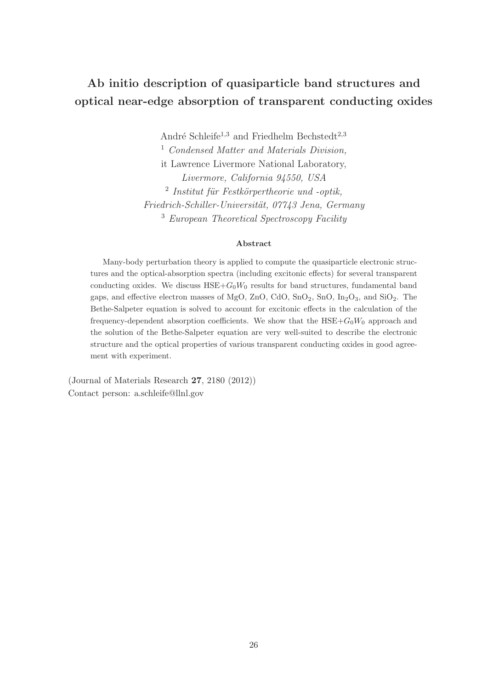# Ab initio description of quasiparticle band structures and optical near-edge absorption of transparent conducting oxides

André Schleife<sup>1,3</sup> and Friedhelm Bechstedt<sup>2,3</sup> <sup>1</sup> Condensed Matter and Materials Division, it Lawrence Livermore National Laboratory, Livermore, California 94550, USA  $2$  Institut für Festkörpertheorie und -optik, Friedrich-Schiller-Universität, 07743 Jena, Germany <sup>3</sup> European Theoretical Spectroscopy Facility

#### Abstract

Many-body perturbation theory is applied to compute the quasiparticle electronic structures and the optical-absorption spectra (including excitonic effects) for several transparent conducting oxides. We discuss  $HSE+G_0W_0$  results for band structures, fundamental band gaps, and effective electron masses of MgO, ZnO, CdO, SnO<sub>2</sub>, SnO, In<sub>2</sub>O<sub>3</sub>, and SiO<sub>2</sub>. The Bethe-Salpeter equation is solved to account for excitonic effects in the calculation of the frequency-dependent absorption coefficients. We show that the  $HSE+G_0W_0$  approach and the solution of the Bethe-Salpeter equation are very well-suited to describe the electronic structure and the optical properties of various transparent conducting oxides in good agreement with experiment.

(Journal of Materials Research 27, 2180 (2012)) Contact person: a.schleife@llnl.gov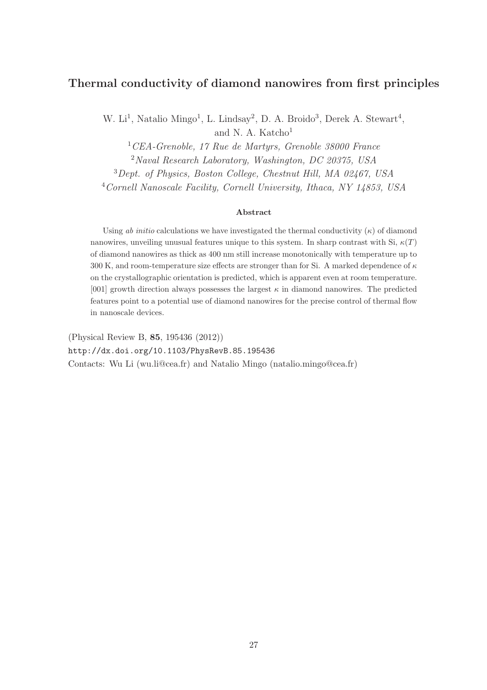# Thermal conductivity of diamond nanowires from first principles

W. Li<sup>1</sup>, Natalio Mingo<sup>1</sup>, L. Lindsay<sup>2</sup>, D. A. Broido<sup>3</sup>, Derek A. Stewart<sup>4</sup>, and N. A. Katcho<sup>1</sup>

CEA-Grenoble, 17 Rue de Martyrs, Grenoble 38000 France Naval Research Laboratory, Washington, DC 20375, USA Dept. of Physics, Boston College, Chestnut Hill, MA 02467, USA Cornell Nanoscale Facility, Cornell University, Ithaca, NY 14853, USA

## Abstract

Using *ab initio* calculations we have investigated the thermal conductivity  $(\kappa)$  of diamond nanowires, unveiling unusual features unique to this system. In sharp contrast with Si,  $\kappa(T)$ of diamond nanowires as thick as 400 nm still increase monotonically with temperature up to 300 K, and room-temperature size effects are stronger than for Si. A marked dependence of  $\kappa$ on the crystallographic orientation is predicted, which is apparent even at room temperature.  $[001]$  growth direction always possesses the largest  $\kappa$  in diamond nanowires. The predicted features point to a potential use of diamond nanowires for the precise control of thermal flow in nanoscale devices.

(Physical Review B, 85, 195436 (2012))

http://dx.doi.org/10.1103/PhysRevB.85.195436

Contacts: Wu Li (wu.li@cea.fr) and Natalio Mingo (natalio.mingo@cea.fr)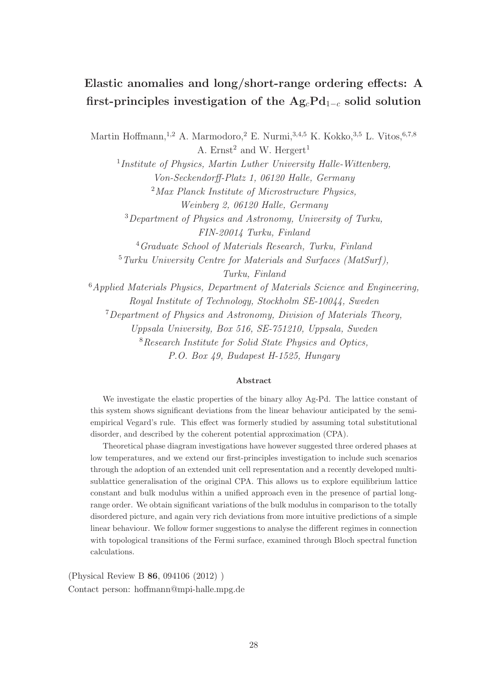# Elastic anomalies and long/short-range ordering effects: A first-principles investigation of the  $Ag_cPd_{1-c}$  solid solution

Martin Hoffmann,<sup>1,2</sup> A. Marmodoro,<sup>2</sup> E. Nurmi,<sup>3,4,5</sup> K. Kokko,<sup>3,5</sup> L. Vitos,<sup>6,7,8</sup> A. Ernst<sup>2</sup> and W. Hergert<sup>1</sup>

<sup>1</sup>Institute of Physics, Martin Luther University Halle-Wittenberg, Von-Seckendorff-Platz 1, 06120 Halle, Germany  $2$ Max Planck Institute of Microstructure Physics, Weinberg 2, 06120 Halle, Germany <sup>3</sup>Department of Physics and Astronomy, University of Turku, FIN-20014 Turku, Finland <sup>4</sup>Graduate School of Materials Research, Turku, Finland  $5$ Turku University Centre for Materials and Surfaces (MatSurf), Turku, Finland <sup>6</sup>Applied Materials Physics, Department of Materials Science and Engineering, Royal Institute of Technology, Stockholm SE-10044, Sweden <sup>7</sup>Department of Physics and Astronomy, Division of Materials Theory, Uppsala University, Box 516, SE-751210, Uppsala, Sweden <sup>8</sup>Research Institute for Solid State Physics and Optics, P.O. Box 49, Budapest H-1525, Hungary

## Abstract

We investigate the elastic properties of the binary alloy Ag-Pd. The lattice constant of this system shows significant deviations from the linear behaviour anticipated by the semiempirical Vegard's rule. This effect was formerly studied by assuming total substitutional disorder, and described by the coherent potential approximation (CPA).

Theoretical phase diagram investigations have however suggested three ordered phases at low temperatures, and we extend our first-principles investigation to include such scenarios through the adoption of an extended unit cell representation and a recently developed multisublattice generalisation of the original CPA. This allows us to explore equilibrium lattice constant and bulk modulus within a unified approach even in the presence of partial longrange order. We obtain significant variations of the bulk modulus in comparison to the totally disordered picture, and again very rich deviations from more intuitive predictions of a simple linear behaviour. We follow former suggestions to analyse the different regimes in connection with topological transitions of the Fermi surface, examined through Bloch spectral function calculations.

(Physical Review B 86, 094106 (2012) ) Contact person: hoffmann@mpi-halle.mpg.de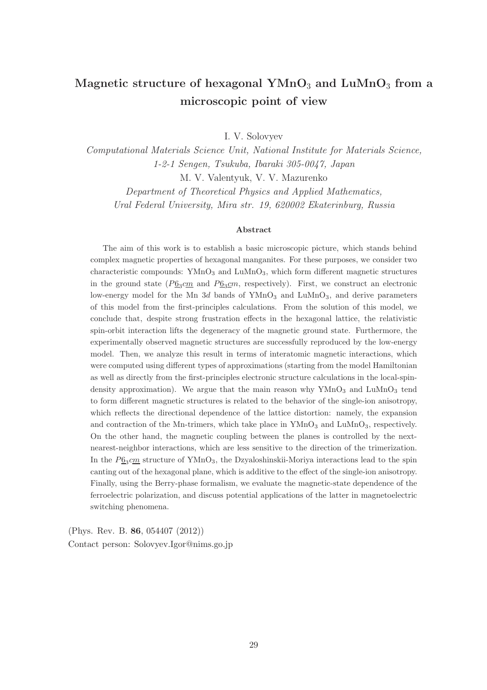# Magnetic structure of hexagonal  $\text{YMnO}_3$  and  $\text{LuMnO}_3$  from a microscopic point of view

I. V. Solovyev

Computational Materials Science Unit, National Institute for Materials Science, 1-2-1 Sengen, Tsukuba, Ibaraki 305-0047, Japan M. V. Valentyuk, V. V. Mazurenko Department of Theoretical Physics and Applied Mathematics,

Ural Federal University, Mira str. 19, 620002 Ekaterinburg, Russia

### Abstract

The aim of this work is to establish a basic microscopic picture, which stands behind complex magnetic properties of hexagonal manganites. For these purposes, we consider two characteristic compounds:  $YMnO<sub>3</sub>$  and  $LuMnO<sub>3</sub>$ , which form different magnetic structures in the ground state  $(P_{0,2}^{\alpha}cm)$  and  $P_{0,2}^{\alpha}cm$ , respectively). First, we construct an electronic low-energy model for the Mn  $3d$  bands of YMnO<sub>3</sub> and LuMnO<sub>3</sub>, and derive parameters of this model from the first-principles calculations. From the solution of this model, we conclude that, despite strong frustration effects in the hexagonal lattice, the relativistic spin-orbit interaction lifts the degeneracy of the magnetic ground state. Furthermore, the experimentally observed magnetic structures are successfully reproduced by the low-energy model. Then, we analyze this result in terms of interatomic magnetic interactions, which were computed using different types of approximations (starting from the model Hamiltonian as well as directly from the first-principles electronic structure calculations in the local-spindensity approximation). We argue that the main reason why  $YMnO<sub>3</sub>$  and  $LuMnO<sub>3</sub>$  tend to form different magnetic structures is related to the behavior of the single-ion anisotropy, which reflects the directional dependence of the lattice distortion: namely, the expansion and contraction of the Mn-trimers, which take place in  $\text{YMnO}_3$  and  $\text{LuMnO}_3$ , respectively. On the other hand, the magnetic coupling between the planes is controlled by the nextnearest-neighbor interactions, which are less sensitive to the direction of the trimerization. In the  $P_{\underline{6}_3 \text{cm}}$  structure of YMnO<sub>3</sub>, the Dzyaloshinskii-Moriya interactions lead to the spin canting out of the hexagonal plane, which is additive to the effect of the single-ion anisotropy. Finally, using the Berry-phase formalism, we evaluate the magnetic-state dependence of the ferroelectric polarization, and discuss potential applications of the latter in magnetoelectric switching phenomena.

(Phys. Rev. B. 86, 054407 (2012)) Contact person: Solovyev.Igor@nims.go.jp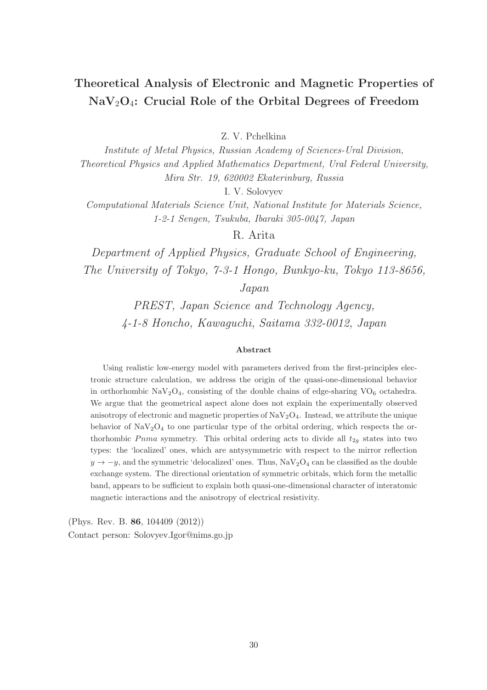# Theoretical Analysis of Electronic and Magnetic Properties of  $NaV<sub>2</sub>O<sub>4</sub>$ : Crucial Role of the Orbital Degrees of Freedom

Z. V. Pchelkina

Institute of Metal Physics, Russian Academy of Sciences-Ural Division, Theoretical Physics and Applied Mathematics Department, Ural Federal University, Mira Str. 19, 620002 Ekaterinburg, Russia

I. V. Solovyev

Computational Materials Science Unit, National Institute for Materials Science, 1-2-1 Sengen, Tsukuba, Ibaraki 305-0047, Japan

R. Arita

Department of Applied Physics, Graduate School of Engineering, The University of Tokyo, 7-3-1 Hongo, Bunkyo-ku, Tokyo 113-8656,

Japan

PREST, Japan Science and Technology Agency, 4-1-8 Honcho, Kawaguchi, Saitama 332-0012, Japan

## Abstract

Using realistic low-energy model with parameters derived from the first-principles electronic structure calculation, we address the origin of the quasi-one-dimensional behavior in orthorhombic  $\text{NaV}_2\text{O}_4$ , consisting of the double chains of edge-sharing  $\text{VO}_6$  octahedra. We argue that the geometrical aspect alone does not explain the experimentally observed anisotropy of electronic and magnetic properties of  $\text{NaV}_2\text{O}_4$ . Instead, we attribute the unique behavior of  $\text{NaV}_2\text{O}_4$  to one particular type of the orbital ordering, which respects the orthorhombic Pnma symmetry. This orbital ordering acts to divide all  $t_{2q}$  states into two types: the 'localized' ones, which are antysymmetric with respect to the mirror reflection  $y \rightarrow -y$ , and the symmetric 'delocalized' ones. Thus, NaV<sub>2</sub>O<sub>4</sub> can be classified as the double exchange system. The directional orientation of symmetric orbitals, which form the metallic band, appears to be sufficient to explain both quasi-one-dimensional character of interatomic magnetic interactions and the anisotropy of electrical resistivity.

(Phys. Rev. B. 86, 104409 (2012)) Contact person: Solovyev.Igor@nims.go.jp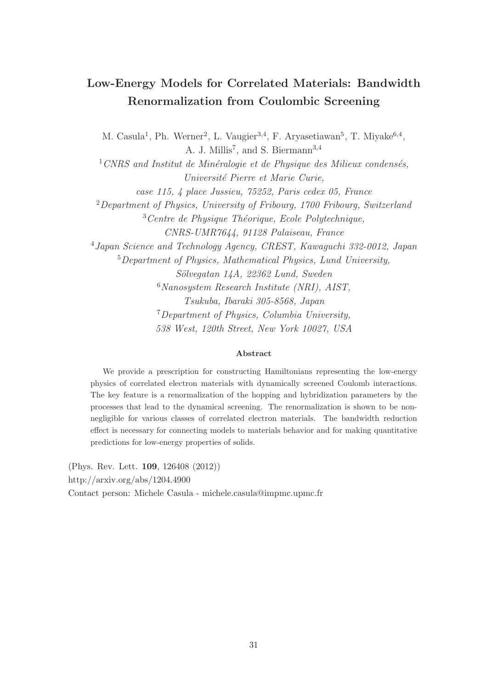# Low-Energy Models for Correlated Materials: Bandwidth Renormalization from Coulombic Screening

M. Casula<sup>1</sup>, Ph. Werner<sup>2</sup>, L. Vaugier<sup>3,4</sup>, F. Aryasetiawan<sup>5</sup>, T. Miyake<sup>6,4</sup>, A. J. Millis<sup>7</sup>, and S. Biermann<sup>3,4</sup>

 $1$ CNRS and Institut de Minéralogie et de Physique des Milieux condensés, Université Pierre et Marie Curie,

case 115, 4 place Jussieu, 75252, Paris cedex 05, France

<sup>2</sup>Department of Physics, University of Fribourg, 1700 Fribourg, Switzerland

 $3$ Centre de Physique Théorique, Ecole Polytechnique,

CNRS-UMR7644, 91128 Palaiseau, France

<sup>4</sup>Japan Science and Technology Agency, CREST, Kawaguchi 332-0012, Japan

<sup>5</sup>Department of Physics, Mathematical Physics, Lund University,

Sölvegatan 14A, 22362 Lund, Sweden  $6$ Nanosystem Research Institute (NRI), AIST, Tsukuba, Ibaraki 305-8568, Japan

<sup>7</sup>Department of Physics, Columbia University,

538 West, 120th Street, New York 10027, USA

#### Abstract

We provide a prescription for constructing Hamiltonians representing the low-energy physics of correlated electron materials with dynamically screened Coulomb interactions. The key feature is a renormalization of the hopping and hybridization parameters by the processes that lead to the dynamical screening. The renormalization is shown to be nonnegligible for various classes of correlated electron materials. The bandwidth reduction effect is necessary for connecting models to materials behavior and for making quantitative predictions for low-energy properties of solids.

(Phys. Rev. Lett. 109, 126408 (2012)) http://arxiv.org/abs/1204.4900 Contact person: Michele Casula - michele.casula@impmc.upmc.fr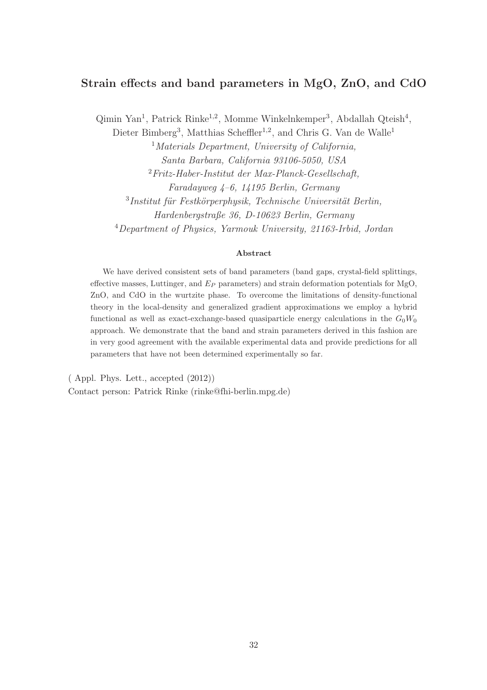# Strain effects and band parameters in MgO, ZnO, and CdO

 $\mathrm{Qimin\; Yan}^1$ , Patrick Rinke<sup>1,2</sup>, Momme Winkelnkemper<sup>3</sup>, Abdallah Qteish<sup>4</sup>,

Dieter Bimberg<sup>3</sup>, Matthias Scheffler<sup>1,2</sup>, and Chris G. Van de Walle<sup>1</sup>

<sup>1</sup>Materials Department, University of California, Santa Barbara, California 93106-5050, USA <sup>2</sup>Fritz-Haber-Institut der Max-Planck-Gesellschaft,

Faradayweg  $4-6$ , 14195 Berlin, Germany

<sup>3</sup>Institut für Festkörperphysik, Technische Universität Berlin,

Hardenbergstraße 36, D-10623 Berlin, Germany

<sup>4</sup>Department of Physics, Yarmouk University, 21163-Irbid, Jordan

#### Abstract

We have derived consistent sets of band parameters (band gaps, crystal-field splittings, effective masses, Luttinger, and  $E_P$  parameters) and strain deformation potentials for MgO, ZnO, and CdO in the wurtzite phase. To overcome the limitations of density-functional theory in the local-density and generalized gradient approximations we employ a hybrid functional as well as exact-exchange-based quasiparticle energy calculations in the  $G_0W_0$ approach. We demonstrate that the band and strain parameters derived in this fashion are in very good agreement with the available experimental data and provide predictions for all parameters that have not been determined experimentally so far.

( Appl. Phys. Lett., accepted (2012)) Contact person: Patrick Rinke (rinke@fhi-berlin.mpg.de)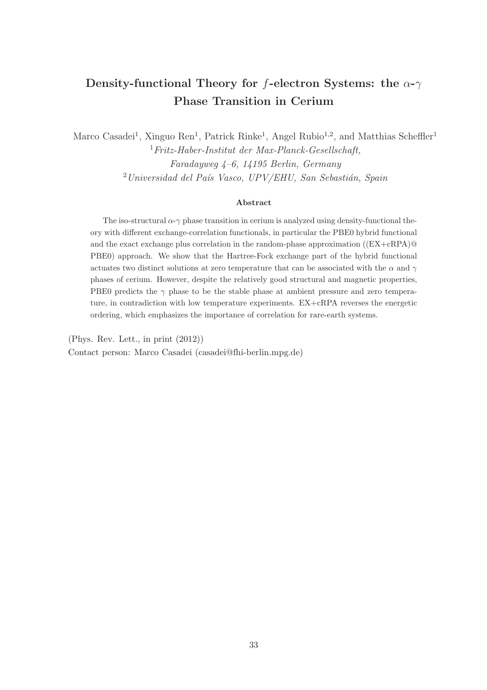# Density-functional Theory for f-electron Systems: the  $\alpha$ - $\gamma$ Phase Transition in Cerium

Marco Casadei<sup>1</sup>, Xinguo Ren<sup>1</sup>, Patrick Rinke<sup>1</sup>, Angel Rubio<sup>1,2</sup>, and Matthias Scheffler<sup>1</sup>  $1$ Fritz-Haber-Institut der Max-Planck-Gesellschaft, Faradayweg 4–6, 14195 Berlin, Germany  $^{2}$ Universidad del País Vasco, UPV/EHU, San Sebastián, Spain

### Abstract

The iso-structural  $\alpha$ -γ phase transition in cerium is analyzed using density-functional theory with different exchange-correlation functionals, in particular the PBE0 hybrid functional and the exact exchange plus correlation in the random-phase approximation  $((EX + cRPA)@$ PBE0) approach. We show that the Hartree-Fock exchange part of the hybrid functional actuates two distinct solutions at zero temperature that can be associated with the  $\alpha$  and  $\gamma$ phases of cerium. However, despite the relatively good structural and magnetic properties, PBE0 predicts the  $\gamma$  phase to be the stable phase at ambient pressure and zero temperature, in contradiction with low temperature experiments.  $EX + cRPA$  reverses the energetic ordering, which emphasizes the importance of correlation for rare-earth systems.

(Phys. Rev. Lett., in print (2012)) Contact person: Marco Casadei (casadei@fhi-berlin.mpg.de)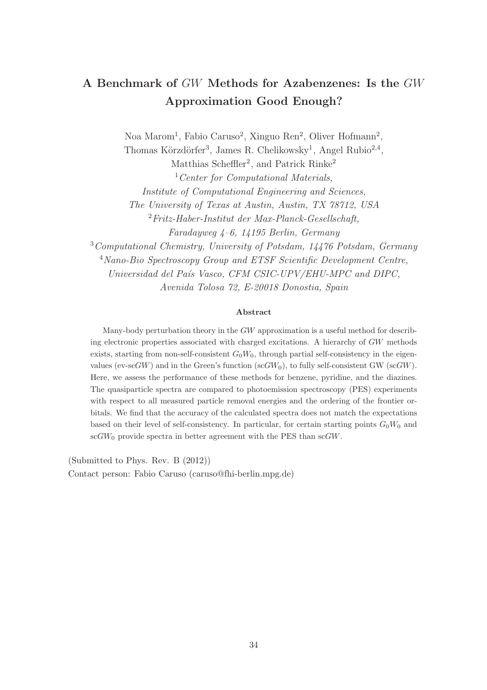# A Benchmark of GW Methods for Azabenzenes: Is the GW Approximation Good Enough?

Noa Marom<sup>1</sup>, Fabio Caruso<sup>2</sup>, Xinguo Ren<sup>2</sup>, Oliver Hofmann<sup>2</sup>,

Thomas Körzdörfer<sup>3</sup>, James R. Chelikowsky<sup>1</sup>, Angel Rubio<sup>2,4</sup>,

Matthias Scheffler<sup>2</sup>, and Patrick Rinke<sup>2</sup>

<sup>1</sup> Center for Computational Materials.

Institute of Computational Engineering and Sciences,

The University of Texas at Austin, Austin, TX 78712, USA

 $2Fritz-Haber-Institut$  der Max-Planck-Gesellschaft,

Faradayweg 4–6, 14195 Berlin, Germany

<sup>3</sup>Computational Chemistry, University of Potsdam, 14476 Potsdam, Germany

<sup>4</sup> Nano-Bio Spectroscopy Group and ETSF Scientific Development Centre,

Universidad del País Vasco, CFM CSIC-UPV/EHU-MPC and DIPC,

Avenida Tolosa 72, E-20018 Donostia, Spain

### Abstract

Many-body perturbation theory in the GW approximation is a useful method for describing electronic properties associated with charged excitations. A hierarchy of GW methods exists, starting from non-self-consistent  $G_0W_0$ , through partial self-consistency in the eigenvalues (ev-scGW) and in the Green's function (scGW<sub>0</sub>), to fully self-consistent GW (scGW). Here, we assess the performance of these methods for benzene, pyridine, and the diazines. The quasiparticle spectra are compared to photoemission spectroscopy (PES) experiments with respect to all measured particle removal energies and the ordering of the frontier orbitals. We find that the accuracy of the calculated spectra does not match the expectations based on their level of self-consistency. In particular, for certain starting points  $G_0W_0$  and  $\mathrm{sc}GW_0$  provide spectra in better agreement with the PES than  $\mathrm{sc}GW$ .

(Submitted to Phys. Rev. B (2012)) Contact person: Fabio Caruso (caruso@fhi-berlin.mpg.de)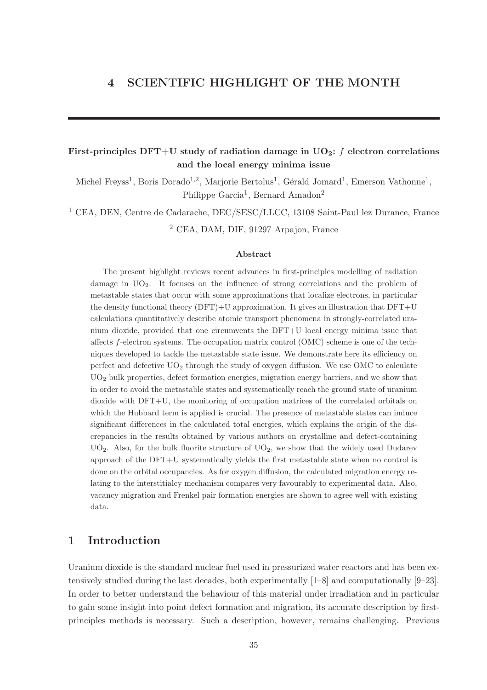# First-principles DFT+U study of radiation damage in UO<sub>2</sub>: *f* electron correlations and the local energy minima issue

Michel Freyss<sup>1</sup>, Boris Dorado<sup>1,2</sup>, Marjorie Bertolus<sup>1</sup>, Gérald Jomard<sup>1</sup>, Emerson Vathonne<sup>1</sup>, Philippe Garcia<sup>1</sup>, Bernard Amadon<sup>2</sup>

<sup>1</sup> CEA, DEN, Centre de Cadarache, DEC/SESC/LLCC, 13108 Saint-Paul lez Durance, France <sup>2</sup> CEA, DAM, DIF, 91297 Arpajon, France

#### Abstract

The present highlight reviews recent advances in first-principles modelling of radiation damage in  $UO<sub>2</sub>$ . It focuses on the influence of strong correlations and the problem of metastable states that occur with some approximations that localize electrons, in particular the density functional theory (DFT)+U approximation. It gives an illustration that DFT+U calculations quantitatively describe atomic transport phenomena in strongly-correlated uranium dioxide, provided that one circumvents the DFT+U local energy minima issue that affects f-electron systems. The occupation matrix control (OMC) scheme is one of the techniques developed to tackle the metastable state issue. We demonstrate here its efficiency on perfect and defective  $UO<sub>2</sub>$  through the study of oxygen diffusion. We use OMC to calculate UO2 bulk properties, defect formation energies, migration energy barriers, and we show that in order to avoid the metastable states and systematically reach the ground state of uranium dioxide with DFT+U, the monitoring of occupation matrices of the correlated orbitals on which the Hubbard term is applied is crucial. The presence of metastable states can induce significant differences in the calculated total energies, which explains the origin of the discrepancies in the results obtained by various authors on crystalline and defect-containing  $UO<sub>2</sub>$ . Also, for the bulk fluorite structure of  $UO<sub>2</sub>$ , we show that the widely used Dudarev approach of the DFT+U systematically yields the first metastable state when no control is done on the orbital occupancies. As for oxygen diffusion, the calculated migration energy relating to the interstitialcy mechanism compares very favourably to experimental data. Also, vacancy migration and Frenkel pair formation energies are shown to agree well with existing data.

## 1 Introduction

Uranium dioxide is the standard nuclear fuel used in pressurized water reactors and has been extensively studied during the last decades, both experimentally [1–8] and computationally [9–23]. In order to better understand the behaviour of this material under irradiation and in particular to gain some insight into point defect formation and migration, its accurate description by firstprinciples methods is necessary. Such a description, however, remains challenging. Previous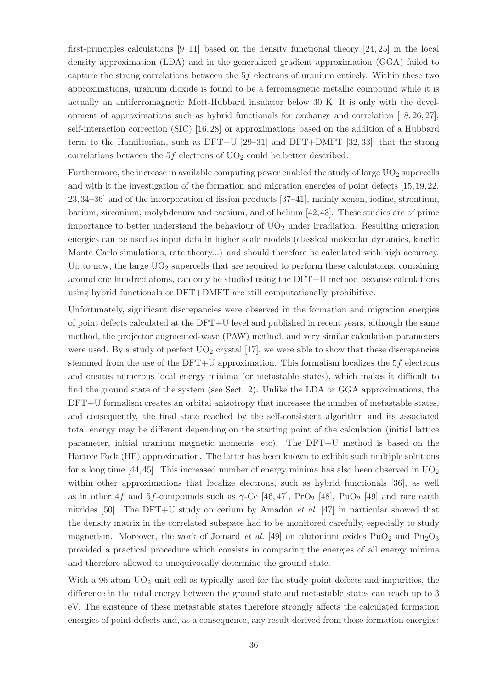first-principles calculations  $[9-11]$  based on the density functional theory  $[24, 25]$  in the local density approximation (LDA) and in the generalized gradient approximation (GGA) failed to capture the strong correlations between the  $5f$  electrons of uranium entirely. Within these two approximations, uranium dioxide is found to be a ferromagnetic metallic compound while it is actually an antiferromagnetic Mott-Hubbard insulator below 30 K. It is only with the development of approximations such as hybrid functionals for exchange and correlation [18, 26, 27], self-interaction correction (SIC) [16, 28] or approximations based on the addition of a Hubbard term to the Hamiltonian, such as DFT+U [29–31] and DFT+DMFT [32, 33], that the strong correlations between the  $5f$  electrons of  $UO<sub>2</sub>$  could be better described.

Furthermore, the increase in available computing power enabled the study of large  $UO<sub>2</sub>$  supercells and with it the investigation of the formation and migration energies of point defects [15, 19, 22, 23, 34–36] and of the incorporation of fission products [37–41], mainly xenon, iodine, strontium, barium, zirconium, molybdenum and caesium, and of helium [42,43]. These studies are of prime importance to better understand the behaviour of  $UO<sub>2</sub>$  under irradiation. Resulting migration energies can be used as input data in higher scale models (classical molecular dynamics, kinetic Monte Carlo simulations, rate theory...) and should therefore be calculated with high accuracy. Up to now, the large  $UO<sub>2</sub>$  supercells that are required to perform these calculations, containing around one hundred atoms, can only be studied using the DFT+U method because calculations using hybrid functionals or DFT+DMFT are still computationally prohibitive.

Unfortunately, significant discrepancies were observed in the formation and migration energies of point defects calculated at the DFT+U level and published in recent years, although the same method, the projector augmented-wave (PAW) method, and very similar calculation parameters were used. By a study of perfect  $UO<sub>2</sub>$  crystal [17], we were able to show that these discrepancies stemmed from the use of the DFT+U approximation. This formalism localizes the  $5f$  electrons and creates numerous local energy minima (or metastable states), which makes it difficult to find the ground state of the system (see Sect. 2). Unlike the LDA or GGA approximations, the DFT+U formalism creates an orbital anisotropy that increases the number of metastable states, and consequently, the final state reached by the self-consistent algorithm and its associated total energy may be different depending on the starting point of the calculation (initial lattice parameter, initial uranium magnetic moments, etc). The DFT+U method is based on the Hartree Fock (HF) approximation. The latter has been known to exhibit such multiple solutions for a long time  $[44, 45]$ . This increased number of energy minima has also been observed in  $UO<sub>2</sub>$ within other approximations that localize electrons, such as hybrid functionals [36], as well as in other 4f and 5f-compounds such as  $\gamma$ -Ce [46, 47], PrO<sub>2</sub> [48], PuO<sub>2</sub> [49] and rare earth nitrides [50]. The DFT+U study on cerium by Amadon *et al.* [47] in particular showed that the density matrix in the correlated subspace had to be monitored carefully, especially to study magnetism. Moreover, the work of Jomard *et al.* [49] on plutonium oxides  $PuO<sub>2</sub>$  and  $Pu<sub>2</sub>O<sub>3</sub>$ provided a practical procedure which consists in comparing the energies of all energy minima and therefore allowed to unequivocally determine the ground state.

With a  $96$ -atom  $UO<sub>2</sub>$  unit cell as typically used for the study point defects and impurities, the difference in the total energy between the ground state and metastable states can reach up to 3 eV. The existence of these metastable states therefore strongly affects the calculated formation energies of point defects and, as a consequence, any result derived from these formation energies: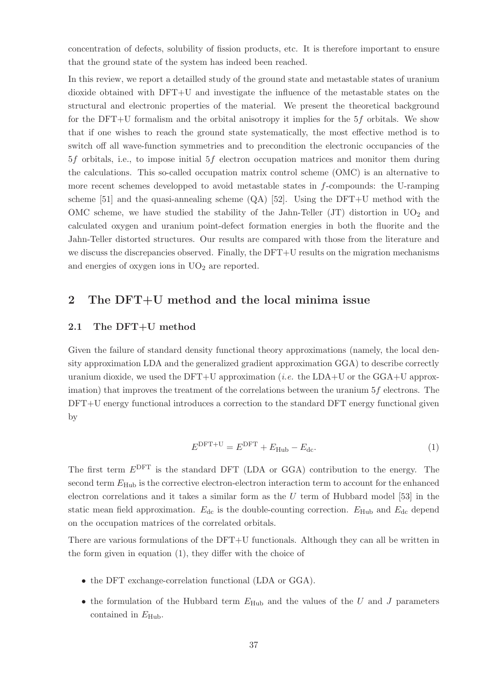concentration of defects, solubility of fission products, etc. It is therefore important to ensure that the ground state of the system has indeed been reached.

In this review, we report a detailled study of the ground state and metastable states of uranium dioxide obtained with DFT+U and investigate the influence of the metastable states on the structural and electronic properties of the material. We present the theoretical background for the DFT+U formalism and the orbital anisotropy it implies for the 5f orbitals. We show that if one wishes to reach the ground state systematically, the most effective method is to switch off all wave-function symmetries and to precondition the electronic occupancies of the 5f orbitals, i.e., to impose initial 5f electron occupation matrices and monitor them during the calculations. This so-called occupation matrix control scheme (OMC) is an alternative to more recent schemes developped to avoid metastable states in  $f$ -compounds: the U-ramping scheme [51] and the quasi-annealing scheme  $(QA)$  [52]. Using the DFT+U method with the OMC scheme, we have studied the stability of the Jahn-Teller (JT) distortion in  $UO<sub>2</sub>$  and calculated oxygen and uranium point-defect formation energies in both the fluorite and the Jahn-Teller distorted structures. Our results are compared with those from the literature and we discuss the discrepancies observed. Finally, the DFT+U results on the migration mechanisms and energies of oxygen ions in  $UO<sub>2</sub>$  are reported.

# 2 The DFT+U method and the local minima issue

## 2.1 The DFT+U method

Given the failure of standard density functional theory approximations (namely, the local density approximation LDA and the generalized gradient approximation GGA) to describe correctly uranium dioxide, we used the DFT+U approximation (*i.e.* the LDA+U or the GGA+U approximation) that improves the treatment of the correlations between the uranium  $5f$  electrons. The DFT+U energy functional introduces a correction to the standard DFT energy functional given by

$$
E^{\text{DFT+U}} = E^{\text{DFT}} + E_{\text{Hub}} - E_{\text{dc}}.\tag{1}
$$

The first term  $E<sup>DFT</sup>$  is the standard DFT (LDA or GGA) contribution to the energy. The second term  $E_{\text{Hub}}$  is the corrective electron-electron interaction term to account for the enhanced electron correlations and it takes a similar form as the  $U$  term of Hubbard model [53] in the static mean field approximation.  $E_{dc}$  is the double-counting correction.  $E_{Hub}$  and  $E_{dc}$  depend on the occupation matrices of the correlated orbitals.

There are various formulations of the DFT+U functionals. Although they can all be written in the form given in equation (1), they differ with the choice of

- the DFT exchange-correlation functional (LDA or GGA).
- the formulation of the Hubbard term  $E_{\text{Hub}}$  and the values of the U and J parameters contained in  $E_{\text{Hub}}$ .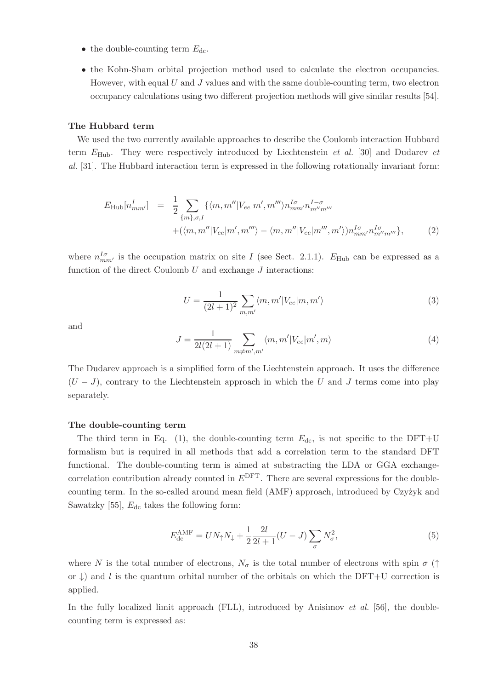- the double-counting term  $E_{\text{dc}}$ .
- the Kohn-Sham orbital projection method used to calculate the electron occupancies. However, with equal  $U$  and  $J$  values and with the same double-counting term, two electron occupancy calculations using two different projection methods will give similar results [54].

#### The Hubbard term

We used the two currently available approaches to describe the Coulomb interaction Hubbard term EHub. They were respectively introduced by Liechtenstein *et al.* [30] and Dudarev *et al.* [31]. The Hubbard interaction term is expressed in the following rotationally invariant form:

$$
E_{\text{Hub}}[n_{mm'}^I] = \frac{1}{2} \sum_{\{m\},\sigma,I} \{ \langle m,m''|V_{ee}|m',m'''\rangle n_{mm'}^{I\sigma} n_{m''m'''}^{I-\sigma} + (\langle m,m''|V_{ee}|m',m'''\rangle - \langle m,m''|V_{ee}|m''',m'\rangle) n_{mm'}^{I\sigma} n_{m''m''}^{I\sigma} \},
$$
(2)

where  $n_{mm'}^{I\sigma}$  is the occupation matrix on site I (see Sect. 2.1.1).  $E_{\text{Hub}}$  can be expressed as a function of the direct Coulomb  $U$  and exchange  $J$  interactions:

$$
U = \frac{1}{(2l+1)^2} \sum_{m,m'} \langle m, m'|V_{ee}|m, m'\rangle \tag{3}
$$

and

$$
J = \frac{1}{2l(2l+1)} \sum_{m \neq m', m'} \langle m, m'|V_{ee}|m', m \rangle \tag{4}
$$

The Dudarev approach is a simplified form of the Liechtenstein approach. It uses the difference  $(U-J)$ , contrary to the Liechtenstein approach in which the U and J terms come into play separately.

#### The double-counting term

The third term in Eq. (1), the double-counting term  $E_{dc}$ , is not specific to the DFT+U formalism but is required in all methods that add a correlation term to the standard DFT functional. The double-counting term is aimed at substracting the LDA or GGA exchangecorrelation contribution already counted in  $E<sup>DFT</sup>$ . There are several expressions for the doublecounting term. In the so-called around mean field (AMF) approach, introduced by Czyżyk and Sawatzky [55],  $E_{\text{dc}}$  takes the following form:

$$
E_{\rm dc}^{\rm AMF} = U N_{\uparrow} N_{\downarrow} + \frac{1}{2} \frac{2l}{2l+1} (U - J) \sum_{\sigma} N_{\sigma}^2,
$$
\n(5)

where N is the total number of electrons,  $N_{\sigma}$  is the total number of electrons with spin  $\sigma$  ( $\uparrow$ or  $\downarrow$ ) and l is the quantum orbital number of the orbitals on which the DFT+U correction is applied.

In the fully localized limit approach (FLL), introduced by Anisimov *et al.* [56], the doublecounting term is expressed as: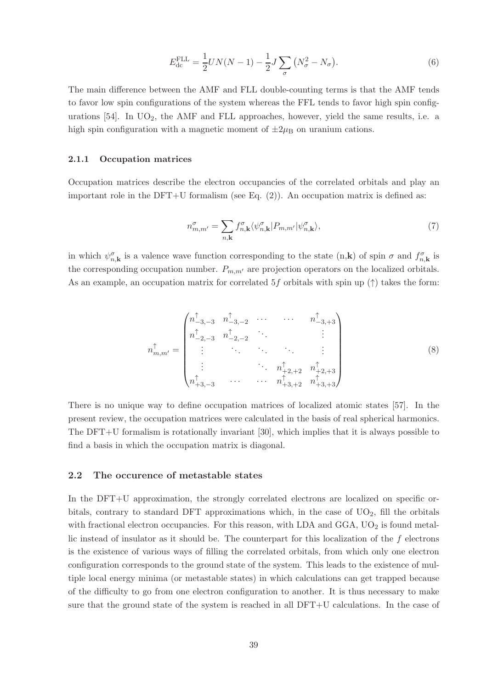$$
E_{\rm dc}^{\rm FLL} = \frac{1}{2} U N(N-1) - \frac{1}{2} J \sum_{\sigma} \left( N_{\sigma}^2 - N_{\sigma} \right). \tag{6}
$$

The main difference between the AMF and FLL double-counting terms is that the AMF tends to favor low spin configurations of the system whereas the FFL tends to favor high spin configurations  $[54]$ . In  $UO_2$ , the AMF and FLL approaches, however, yield the same results, i.e. a high spin configuration with a magnetic moment of  $\pm 2\mu$ <sub>B</sub> on uranium cations.

#### 2.1.1 Occupation matrices

Occupation matrices describe the electron occupancies of the correlated orbitals and play an important role in the DFT+U formalism (see Eq.  $(2)$ ). An occupation matrix is defined as:

$$
n_{m,m'}^{\sigma} = \sum_{n,\mathbf{k}} f_{n,\mathbf{k}}^{\sigma} \langle \psi_{n,\mathbf{k}}^{\sigma} | P_{m,m'} | \psi_{n,\mathbf{k}}^{\sigma} \rangle, \tag{7}
$$

in which  $\psi_{n,\mathbf{k}}^{\sigma}$  is a valence wave function corresponding to the state  $(n,\mathbf{k})$  of spin  $\sigma$  and  $f_{n,\mathbf{k}}^{\sigma}$  is the corresponding occupation number.  $P_{m,m'}$  are projection operators on the localized orbitals. As an example, an occupation matrix for correlated 5f orbitals with spin up  $(\uparrow)$  takes the form:

$$
n_{m,m'}^{\uparrow} = \begin{pmatrix} n_{-3,-3}^{\uparrow} & n_{-3,-2}^{\uparrow} & \cdots & n_{-3,+3}^{\uparrow} \\ n_{-2,-3}^{\uparrow} & n_{-2,-2}^{\uparrow} & & \vdots \\ \vdots & \ddots & \ddots & \vdots \\ n_{+3,-3}^{\uparrow} & \cdots & n_{+3,+2}^{\uparrow} & n_{+3,+3}^{\uparrow} \\ \end{pmatrix}
$$
 (8)

There is no unique way to define occupation matrices of localized atomic states [57]. In the present review, the occupation matrices were calculated in the basis of real spherical harmonics. The DFT+U formalism is rotationally invariant [30], which implies that it is always possible to find a basis in which the occupation matrix is diagonal.

### 2.2 The occurence of metastable states

In the DFT+U approximation, the strongly correlated electrons are localized on specific orbitals, contrary to standard DFT approximations which, in the case of  $UO<sub>2</sub>$ , fill the orbitals with fractional electron occupancies. For this reason, with LDA and GGA,  $UO<sub>2</sub>$  is found metallic instead of insulator as it should be. The counterpart for this localization of the f electrons is the existence of various ways of filling the correlated orbitals, from which only one electron configuration corresponds to the ground state of the system. This leads to the existence of multiple local energy minima (or metastable states) in which calculations can get trapped because of the difficulty to go from one electron configuration to another. It is thus necessary to make sure that the ground state of the system is reached in all DFT+U calculations. In the case of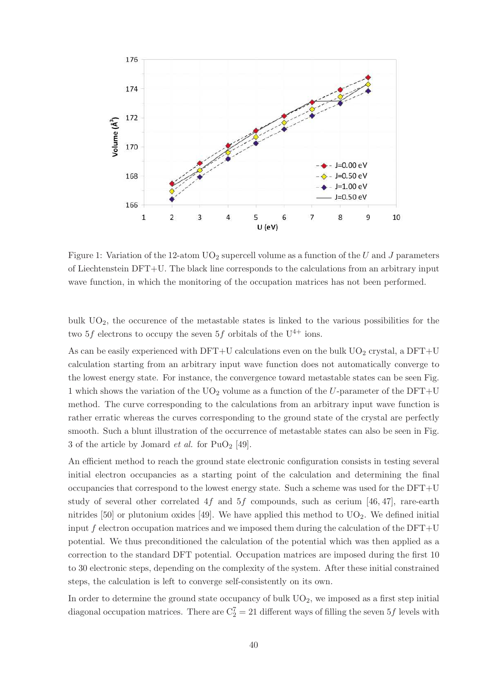

Figure 1: Variation of the 12-atom  $UO<sub>2</sub>$  supercell volume as a function of the U and J parameters of Liechtenstein DFT+U. The black line corresponds to the calculations from an arbitrary input wave function, in which the monitoring of the occupation matrices has not been performed.

bulk UO2, the occurence of the metastable states is linked to the various possibilities for the two  $5f$  electrons to occupy the seven  $5f$  orbitals of the U<sup>4+</sup> ions.

As can be easily experienced with DFT+U calculations even on the bulk  $UO<sub>2</sub>$  crystal, a DFT+U calculation starting from an arbitrary input wave function does not automatically converge to the lowest energy state. For instance, the convergence toward metastable states can be seen Fig. 1 which shows the variation of the  $U_2$  volume as a function of the U-parameter of the DFT+U method. The curve corresponding to the calculations from an arbitrary input wave function is rather erratic whereas the curves corresponding to the ground state of the crystal are perfectly smooth. Such a blunt illustration of the occurrence of metastable states can also be seen in Fig. 3 of the article by Jomard *et al.* for  $PuO<sub>2</sub>$  [49].

An efficient method to reach the ground state electronic configuration consists in testing several initial electron occupancies as a starting point of the calculation and determining the final occupancies that correspond to the lowest energy state. Such a scheme was used for the DFT+U study of several other correlated  $4f$  and  $5f$  compounds, such as cerium [46, 47], rare-earth nitrides [50] or plutonium oxides [49]. We have applied this method to  $UO_2$ . We defined initial input f electron occupation matrices and we imposed them during the calculation of the  $DFT+U$ potential. We thus preconditioned the calculation of the potential which was then applied as a correction to the standard DFT potential. Occupation matrices are imposed during the first 10 to 30 electronic steps, depending on the complexity of the system. After these initial constrained steps, the calculation is left to converge self-consistently on its own.

In order to determine the ground state occupancy of bulk  $UO<sub>2</sub>$ , we imposed as a first step initial diagonal occupation matrices. There are  $C_2^7 = 21$  different ways of filling the seven  $5f$  levels with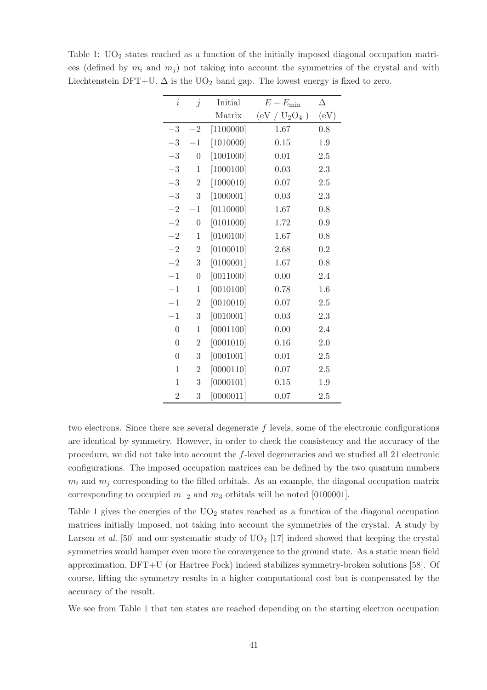| $\dot{\imath}$ | $\dot{j}$      | Initial   | $E - E_{\text{min}}$ | Δ       |
|----------------|----------------|-----------|----------------------|---------|
|                |                | Matrix    | $(eV / U_2O_4)$      | (eV)    |
| $-3$           | $-2$           | [1100000] | 1.67                 | 0.8     |
| $-3$           | $-1$           | [1010000] | 0.15                 | 1.9     |
| $-3$           | $\overline{0}$ | [1001000] | 0.01                 | $2.5\,$ |
| $-3$           | 1              | [1000100] | 0.03                 | 2.3     |
| $-3$           | $\overline{2}$ | [1000010] | 0.07                 | $2.5\,$ |
| $-3$           | 3              | [1000001] | 0.03                 | 2.3     |
| $-2$           | $-1$           | [0110000] | 1.67                 | 0.8     |
| $-2$           | $\overline{0}$ | [0101000] | 1.72                 | 0.9     |
| $-2$           | 1              | [0100100] | 1.67                 | 0.8     |
| $-2$           | $\overline{2}$ | [0100010] | 2.68                 | 0.2     |
| $-2$           | 3              | [0100001] | 1.67                 | 0.8     |
| $-1$           | $\overline{0}$ | [0011000] | 0.00                 | 2.4     |
| $-1$           | $\mathbf{1}$   | [0010100] | 0.78                 | 1.6     |
| $-1$           | $\overline{2}$ | [0010010] | 0.07                 | 2.5     |
| $-1$           | 3              | [0010001] | 0.03                 | 2.3     |
| $\overline{0}$ | 1              | [0001100] | 0.00                 | 2.4     |
| $\overline{0}$ | $\overline{2}$ | [0001010] | 0.16                 | 2.0     |
| $\overline{0}$ | 3              | [0001001] | 0.01                 | 2.5     |
| $\mathbf{1}$   | $\overline{2}$ | [0000110] | 0.07                 | 2.5     |
| 1              | 3              | [0000101] | $0.15\,$             | 1.9     |
| $\overline{2}$ | 3              | [0000011] | $0.07\,$             | 2.5     |

Table 1:  $UO<sub>2</sub>$  states reached as a function of the initially imposed diagonal occupation matrices (defined by  $m_i$  and  $m_j$ ) not taking into account the symmetries of the crystal and with Liechtenstein DFT+U.  $\Delta$  is the UO<sub>2</sub> band gap. The lowest energy is fixed to zero.

two electrons. Since there are several degenerate  $f$  levels, some of the electronic configurations are identical by symmetry. However, in order to check the consistency and the accuracy of the procedure, we did not take into account the f-level degeneracies and we studied all 21 electronic configurations. The imposed occupation matrices can be defined by the two quantum numbers  $m_i$  and  $m_j$  corresponding to the filled orbitals. As an example, the diagonal occupation matrix corresponding to occupied  $m_{-2}$  and  $m_3$  orbitals will be noted [0100001].

Table 1 gives the energies of the  $UO<sub>2</sub>$  states reached as a function of the diagonal occupation matrices initially imposed, not taking into account the symmetries of the crystal. A study by Larson *et al.* [50] and our systematic study of  $UO<sub>2</sub>$  [17] indeed showed that keeping the crystal symmetries would hamper even more the convergence to the ground state. As a static mean field approximation, DFT+U (or Hartree Fock) indeed stabilizes symmetry-broken solutions [58]. Of course, lifting the symmetry results in a higher computational cost but is compensated by the accuracy of the result.

We see from Table 1 that ten states are reached depending on the starting electron occupation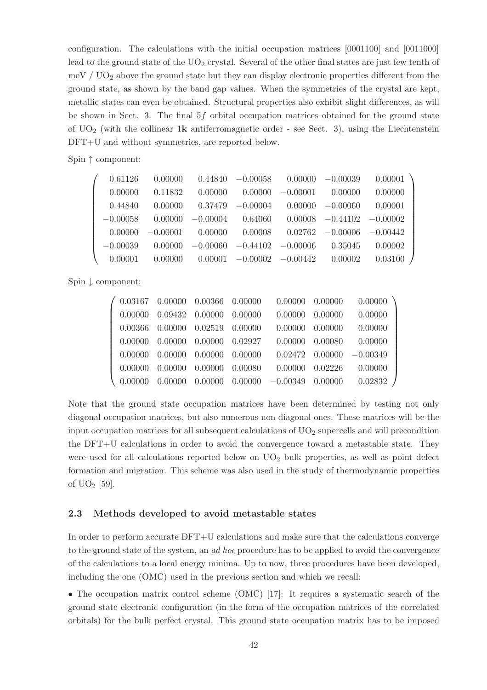configuration. The calculations with the initial occupation matrices [0001100] and [0011000] lead to the ground state of the  $UO<sub>2</sub>$  crystal. Several of the other final states are just few tenth of  $\text{meV}$  /  $\text{UO}_2$  above the ground state but they can display electronic properties different from the ground state, as shown by the band gap values. When the symmetries of the crystal are kept, metallic states can even be obtained. Structural properties also exhibit slight differences, as will be shown in Sect. 3. The final 5f orbital occupation matrices obtained for the ground state of  $UO<sub>2</sub>$  (with the collinear 1k antiferromagnetic order - see Sect. 3), using the Liechtenstein DFT+U and without symmetries, are reported below.

Spin ↑ component:

| 0.61126    | 0.00000                                                        |                                                 | $0.44840 -0.00058$ $0.00000 -0.00039$ $0.00001$             |         |
|------------|----------------------------------------------------------------|-------------------------------------------------|-------------------------------------------------------------|---------|
| 0.00000    | 0.11832                                                        | $0.00000$ $0.00000$ $-0.00001$ $0.00000$        |                                                             | 0.00000 |
| 0.44840    | 0.00000                                                        |                                                 | $0.37479 -0.00004$ $0.00000 -0.00060$ $0.00001$             |         |
| $-0.00058$ |                                                                |                                                 | $0.00000 - 0.00004 - 0.64060 - 0.00008 - 0.44102 - 0.00002$ |         |
| 0.00000    | $-0.00001$ $0.00000$ $0.00008$ $0.02762$ $-0.00006$ $-0.00442$ |                                                 |                                                             |         |
| $-0.00039$ |                                                                | $0.00000 - 0.00060 -0.44102 -0.00006$ $0.35045$ |                                                             | 0.00002 |
| 0.00001    | 0.00000                                                        | $0.00001$ $-0.00002$ $-0.00442$ $0.00002$       |                                                             | 0.03100 |

Spin ↓ component:

|  |  | $0.03167$ $0.00000$ $0.00366$ $0.00000$ |                                                                                   |                     | $0.00000$ $0.00000$ $0.00000$         |
|--|--|-----------------------------------------|-----------------------------------------------------------------------------------|---------------------|---------------------------------------|
|  |  | $0.00000$ $0.09432$ $0.00000$ $0.00000$ |                                                                                   | $0.00000$ $0.00000$ | 0.00000                               |
|  |  | $0.00366$ $0.00000$ $0.02519$ $0.00000$ |                                                                                   |                     | $0.00000 \quad 0.00000 \quad 0.00000$ |
|  |  | $0.00000$ $0.00000$ $0.00000$ $0.02927$ |                                                                                   |                     | $0.00000$ $0.00080$ $0.00000$         |
|  |  | $0.00000$ $0.00000$ $0.00000$ $0.00000$ |                                                                                   |                     | $0.02472$ $0.00000$ $-0.00349$        |
|  |  | $0.00000$ $0.00000$ $0.00000$ $0.00080$ |                                                                                   |                     | $0.00000 \quad 0.02226 \quad 0.00000$ |
|  |  |                                         | $(0.00000 \quad 0.00000 \quad 0.00000 \quad 0.00000 \quad -0.00349 \quad 0.00000$ |                     | 0.02832                               |

Note that the ground state occupation matrices have been determined by testing not only diagonal occupation matrices, but also numerous non diagonal ones. These matrices will be the input occupation matrices for all subsequent calculations of  $UO<sub>2</sub>$  supercells and will precondition the DFT+U calculations in order to avoid the convergence toward a metastable state. They were used for all calculations reported below on  $UO<sub>2</sub>$  bulk properties, as well as point defect formation and migration. This scheme was also used in the study of thermodynamic properties of  $UO_2$  [59].

## 2.3 Methods developed to avoid metastable states

In order to perform accurate DFT+U calculations and make sure that the calculations converge to the ground state of the system, an *ad hoc* procedure has to be applied to avoid the convergence of the calculations to a local energy minima. Up to now, three procedures have been developed, including the one (OMC) used in the previous section and which we recall:

• The occupation matrix control scheme (OMC) [17]: It requires a systematic search of the ground state electronic configuration (in the form of the occupation matrices of the correlated orbitals) for the bulk perfect crystal. This ground state occupation matrix has to be imposed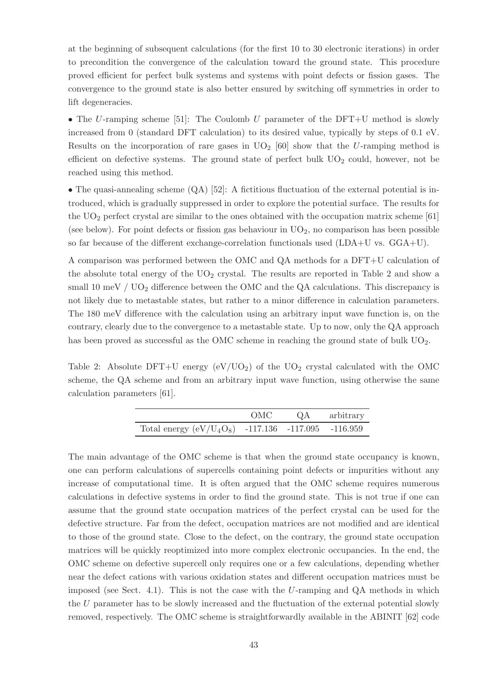at the beginning of subsequent calculations (for the first 10 to 30 electronic iterations) in order to precondition the convergence of the calculation toward the ground state. This procedure proved efficient for perfect bulk systems and systems with point defects or fission gases. The convergence to the ground state is also better ensured by switching off symmetries in order to lift degeneracies.

• The U-ramping scheme [51]: The Coulomb U parameter of the  $DFT+U$  method is slowly increased from 0 (standard DFT calculation) to its desired value, typically by steps of 0.1 eV. Results on the incorporation of rare gases in  $UO<sub>2</sub>$  [60] show that the U-ramping method is efficient on defective systems. The ground state of perfect bulk  $UO<sub>2</sub>$  could, however, not be reached using this method.

• The quasi-annealing scheme  $(QA)$  [52]: A fictitious fluctuation of the external potential is introduced, which is gradually suppressed in order to explore the potential surface. The results for the  $UO<sub>2</sub>$  perfect crystal are similar to the ones obtained with the occupation matrix scheme [61] (see below). For point defects or fission gas behaviour in  $UO<sub>2</sub>$ , no comparison has been possible so far because of the different exchange-correlation functionals used (LDA+U vs. GGA+U).

A comparison was performed between the OMC and QA methods for a DFT+U calculation of the absolute total energy of the  $UO<sub>2</sub>$  crystal. The results are reported in Table 2 and show a small 10 meV  $/$  UO<sub>2</sub> difference between the OMC and the QA calculations. This discrepancy is not likely due to metastable states, but rather to a minor difference in calculation parameters. The 180 meV difference with the calculation using an arbitrary input wave function is, on the contrary, clearly due to the convergence to a metastable state. Up to now, only the QA approach has been proved as successful as the OMC scheme in reaching the ground state of bulk  $UO<sub>2</sub>$ .

Table 2: Absolute DFT+U energy  $(eV/UO_2)$  of the UO<sub>2</sub> crystal calculated with the OMC scheme, the QA scheme and from an arbitrary input wave function, using otherwise the same calculation parameters [61].

|                                                       | OMC. | QA | arbitrary |
|-------------------------------------------------------|------|----|-----------|
| Total energy $(eV/U_4O_8)$ -117.136 -117.095 -116.959 |      |    |           |

The main advantage of the OMC scheme is that when the ground state occupancy is known, one can perform calculations of supercells containing point defects or impurities without any increase of computational time. It is often argued that the OMC scheme requires numerous calculations in defective systems in order to find the ground state. This is not true if one can assume that the ground state occupation matrices of the perfect crystal can be used for the defective structure. Far from the defect, occupation matrices are not modified and are identical to those of the ground state. Close to the defect, on the contrary, the ground state occupation matrices will be quickly reoptimized into more complex electronic occupancies. In the end, the OMC scheme on defective supercell only requires one or a few calculations, depending whether near the defect cations with various oxidation states and different occupation matrices must be imposed (see Sect. 4.1). This is not the case with the  $U$ -ramping and  $QA$  methods in which the U parameter has to be slowly increased and the fluctuation of the external potential slowly removed, respectively. The OMC scheme is straightforwardly available in the ABINIT [62] code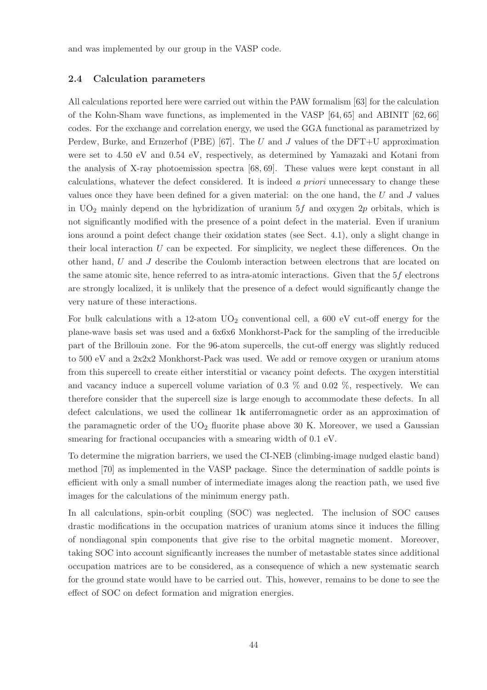and was implemented by our group in the VASP code.

### 2.4 Calculation parameters

All calculations reported here were carried out within the PAW formalism [63] for the calculation of the Kohn-Sham wave functions, as implemented in the VASP [64, 65] and ABINIT [62, 66] codes. For the exchange and correlation energy, we used the GGA functional as parametrized by Perdew, Burke, and Ernzerhof (PBE) [67]. The U and J values of the DFT+U approximation were set to 4.50 eV and 0.54 eV, respectively, as determined by Yamazaki and Kotani from the analysis of X-ray photoemission spectra [68, 69]. These values were kept constant in all calculations, whatever the defect considered. It is indeed *a priori* unnecessary to change these values once they have been defined for a given material: on the one hand, the  $U$  and  $J$  values in  $UO<sub>2</sub>$  mainly depend on the hybridization of uranium 5f and oxygen 2p orbitals, which is not significantly modified with the presence of a point defect in the material. Even if uranium ions around a point defect change their oxidation states (see Sect. 4.1), only a slight change in their local interaction  $U$  can be expected. For simplicity, we neglect these differences. On the other hand, U and J describe the Coulomb interaction between electrons that are located on the same atomic site, hence referred to as intra-atomic interactions. Given that the 5f electrons are strongly localized, it is unlikely that the presence of a defect would significantly change the very nature of these interactions.

For bulk calculations with a 12-atom  $UO_2$  conventional cell, a 600 eV cut-off energy for the plane-wave basis set was used and a 6x6x6 Monkhorst-Pack for the sampling of the irreducible part of the Brillouin zone. For the 96-atom supercells, the cut-off energy was slightly reduced to 500 eV and a 2x2x2 Monkhorst-Pack was used. We add or remove oxygen or uranium atoms from this supercell to create either interstitial or vacancy point defects. The oxygen interstitial and vacancy induce a supercell volume variation of 0.3  $\%$  and 0.02  $\%$ , respectively. We can therefore consider that the supercell size is large enough to accommodate these defects. In all defect calculations, we used the collinear 1k antiferromagnetic order as an approximation of the paramagnetic order of the  $UO<sub>2</sub>$  fluorite phase above 30 K. Moreover, we used a Gaussian smearing for fractional occupancies with a smearing width of 0.1 eV.

To determine the migration barriers, we used the CI-NEB (climbing-image nudged elastic band) method [70] as implemented in the VASP package. Since the determination of saddle points is efficient with only a small number of intermediate images along the reaction path, we used five images for the calculations of the minimum energy path.

In all calculations, spin-orbit coupling (SOC) was neglected. The inclusion of SOC causes drastic modifications in the occupation matrices of uranium atoms since it induces the filling of nondiagonal spin components that give rise to the orbital magnetic moment. Moreover, taking SOC into account significantly increases the number of metastable states since additional occupation matrices are to be considered, as a consequence of which a new systematic search for the ground state would have to be carried out. This, however, remains to be done to see the effect of SOC on defect formation and migration energies.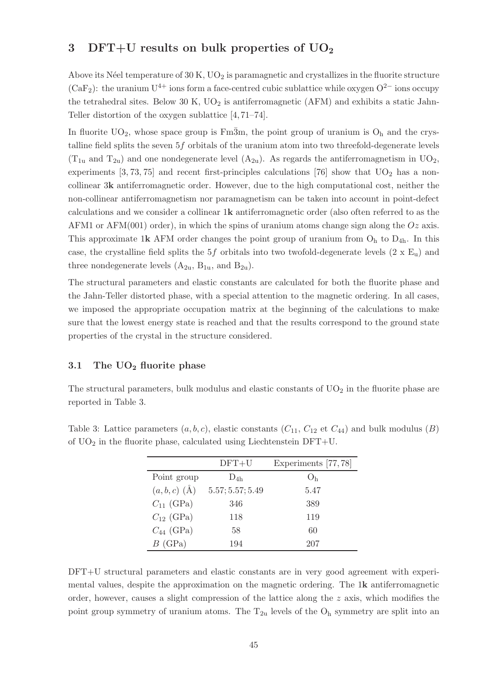# 3 DFT+U results on bulk properties of  $UO<sub>2</sub>$

Above its Néel temperature of  $30 \text{ K}$ , UO<sub>2</sub> is paramagnetic and crystallizes in the fluorite structure  $(CaF<sub>2</sub>)$ : the uranium U<sup>4+</sup> ions form a face-centred cubic sublattice while oxygen O<sup>2−</sup> ions occupy the tetrahedral sites. Below 30 K,  $UO<sub>2</sub>$  is antiferromagnetic (AFM) and exhibits a static Jahn-Teller distortion of the oxygen sublattice [4, 71–74].

In fluorite  $UO_2$ , whose space group is Fm $\overline{3}m$ , the point group of uranium is  $O_h$  and the crystalline field splits the seven 5f orbitals of the uranium atom into two threefold-degenerate levels  $(T_{1u}$  and  $T_{2u}$ ) and one nondegenerate level  $(A_{2u})$ . As regards the antiferromagnetism in UO<sub>2</sub>, experiments  $[3, 73, 75]$  and recent first-principles calculations  $[76]$  show that  $UO<sub>2</sub>$  has a noncollinear 3k antiferromagnetic order. However, due to the high computational cost, neither the non-collinear antiferromagnetism nor paramagnetism can be taken into account in point-defect calculations and we consider a collinear 1k antiferromagnetic order (also often referred to as the AFM1 or AFM(001) order), in which the spins of uranium atoms change sign along the  $Oz$  axis. This approximate 1k AFM order changes the point group of uranium from  $O<sub>h</sub>$  to  $D<sub>4h</sub>$ . In this case, the crystalline field splits the 5f orbitals into two twofold-degenerate levels  $(2 \times E_u)$  and three nondegenerate levels  $(A_{2u}, B_{1u},$  and  $B_{2u})$ .

The structural parameters and elastic constants are calculated for both the fluorite phase and the Jahn-Teller distorted phase, with a special attention to the magnetic ordering. In all cases, we imposed the appropriate occupation matrix at the beginning of the calculations to make sure that the lowest energy state is reached and that the results correspond to the ground state properties of the crystal in the structure considered.

## 3.1 The  $UO<sub>2</sub>$  fluorite phase

The structural parameters, bulk modulus and elastic constants of  $UO<sub>2</sub>$  in the fluorite phase are reported in Table 3.

|                              | $DFT+U$          | Experiments [77,78] |
|------------------------------|------------------|---------------------|
| Point group                  | $D_{4h}$         | $\rm O_h$           |
| $(a, b, c)$ $(\mathring{A})$ | 5.57; 5.57; 5.49 | 5.47                |
| $C_{11}$ (GPa)               | 346              | 389                 |
| $C_{12}$ (GPa)               | 118              | 119                 |
| $C_{44}$ (GPa)               | 58               | 60                  |
| $B$ (GPa)                    | 194              | 207                 |

Table 3: Lattice parameters  $(a, b, c)$ , elastic constants  $(C_{11}, C_{12}$  et  $C_{44})$  and bulk modulus  $(B)$ of  $UO<sub>2</sub>$  in the fluorite phase, calculated using Liechtenstein DFT+U.

DFT+U structural parameters and elastic constants are in very good agreement with experimental values, despite the approximation on the magnetic ordering. The 1k antiferromagnetic order, however, causes a slight compression of the lattice along the  $z$  axis, which modifies the point group symmetry of uranium atoms. The  $T_{2u}$  levels of the  $O_h$  symmetry are split into an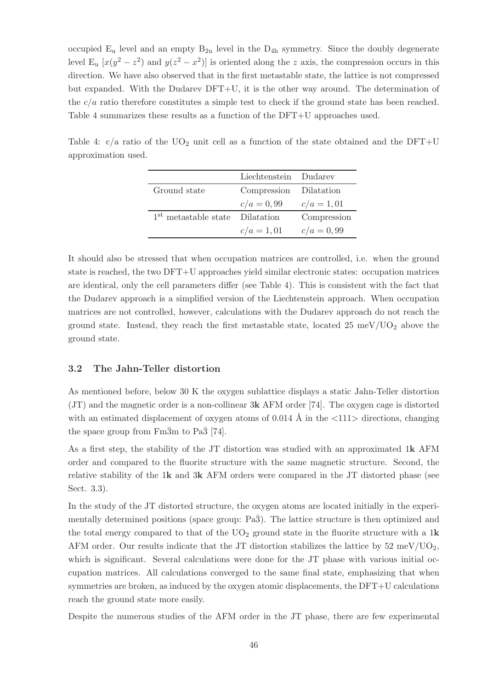occupied  $E_u$  level and an empty  $B_{2u}$  level in the  $D_{4h}$  symmetry. Since the doubly degenerate level  $E_u$   $[x(y^2 - z^2)]$  and  $y(z^2 - x^2)]$  is oriented along the z axis, the compression occurs in this direction. We have also observed that in the first metastable state, the lattice is not compressed but expanded. With the Dudarev DFT+U, it is the other way around. The determination of the  $c/a$  ratio therefore constitutes a simple test to check if the ground state has been reached. Table 4 summarizes these results as a function of the DFT+U approaches used.

Table 4:  $c/a$  ratio of the UO<sub>2</sub> unit cell as a function of the state obtained and the DFT+U approximation used.

|                                  | Liechtenstein Dudarev  |              |
|----------------------------------|------------------------|--------------|
| Ground state                     | Compression Dilatation |              |
|                                  | $c/a = 0,99$           | $c/a = 1,01$ |
| 1 <sup>st</sup> metastable state | Dilatation             | Compression  |
|                                  | $c/a = 1,01$           | $c/a = 0,99$ |

It should also be stressed that when occupation matrices are controlled, i.e. when the ground state is reached, the two DFT+U approaches yield similar electronic states: occupation matrices are identical, only the cell parameters differ (see Table 4). This is consistent with the fact that the Dudarev approach is a simplified version of the Liechtenstein approach. When occupation matrices are not controlled, however, calculations with the Dudarev approach do not reach the ground state. Instead, they reach the first metastable state, located  $25 \text{ meV} / \text{UO}_2$  above the ground state.

## 3.2 The Jahn-Teller distortion

As mentioned before, below 30 K the oxygen sublattice displays a static Jahn-Teller distortion (JT) and the magnetic order is a non-collinear 3k AFM order [74]. The oxygen cage is distorted with an estimated displacement of oxygen atoms of  $0.014 \text{ Å}$  in the  $\langle 111 \rangle$  directions, changing the space group from  $Fm3m$  to Pa3 [74].

As a first step, the stability of the JT distortion was studied with an approximated 1k AFM order and compared to the fluorite structure with the same magnetic structure. Second, the relative stability of the 1k and 3k AFM orders were compared in the JT distorted phase (see Sect. 3.3).

In the study of the JT distorted structure, the oxygen atoms are located initially in the experimentally determined positions (space group:  $Pa\bar{3}$ ). The lattice structure is then optimized and the total energy compared to that of the  $UO<sub>2</sub>$  ground state in the fluorite structure with a 1k AFM order. Our results indicate that the JT distortion stabilizes the lattice by  $52 \text{ meV/UO}_2$ , which is significant. Several calculations were done for the JT phase with various initial occupation matrices. All calculations converged to the same final state, emphasizing that when symmetries are broken, as induced by the oxygen atomic displacements, the DFT+U calculations reach the ground state more easily.

Despite the numerous studies of the AFM order in the JT phase, there are few experimental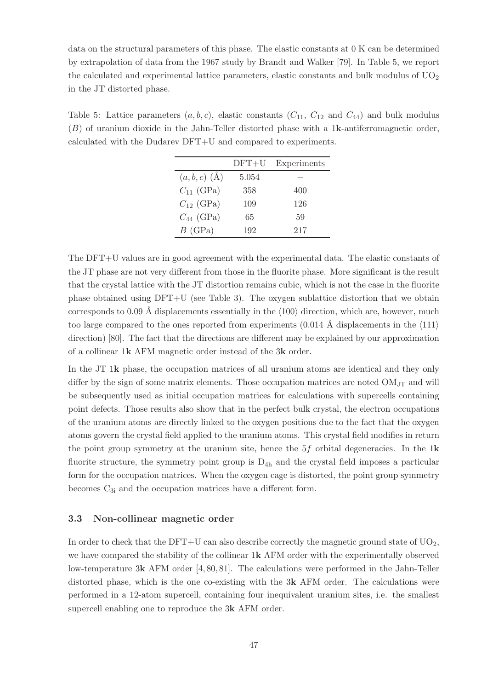data on the structural parameters of this phase. The elastic constants at 0 K can be determined by extrapolation of data from the 1967 study by Brandt and Walker [79]. In Table 5, we report the calculated and experimental lattice parameters, elastic constants and bulk modulus of  $UO<sub>2</sub>$ in the JT distorted phase.

Table 5: Lattice parameters  $(a, b, c)$ , elastic constants  $(C_{11}, C_{12}$  and  $C_{44}$ ) and bulk modulus (B) of uranium dioxide in the Jahn-Teller distorted phase with a 1k-antiferromagnetic order, calculated with the Dudarev DFT+U and compared to experiments.

|                              | $DFT+U$ | Experiments |
|------------------------------|---------|-------------|
| $(a, b, c)$ $(\mathring{A})$ | 5.054   |             |
| $C_{11}$ (GPa)               | 358     | 400         |
| $C_{12}$ (GPa)               | 109     | 126         |
| $C_{44}$ (GPa)               | 65      | 59          |
| $B$ (GPa)                    | 192     | 217         |

The DFT+U values are in good agreement with the experimental data. The elastic constants of the JT phase are not very different from those in the fluorite phase. More significant is the result that the crystal lattice with the JT distortion remains cubic, which is not the case in the fluorite phase obtained using DFT+U (see Table 3). The oxygen sublattice distortion that we obtain corresponds to 0.09 Å displacements essentially in the  $\langle 100 \rangle$  direction, which are, however, much too large compared to the ones reported from experiments (0.014 Å displacements in the  $\langle 111 \rangle$ ) direction) [80]. The fact that the directions are different may be explained by our approximation of a collinear 1k AFM magnetic order instead of the 3k order.

In the JT 1k phase, the occupation matrices of all uranium atoms are identical and they only differ by the sign of some matrix elements. Those occupation matrices are noted  $OM_{JT}$  and will be subsequently used as initial occupation matrices for calculations with supercells containing point defects. Those results also show that in the perfect bulk crystal, the electron occupations of the uranium atoms are directly linked to the oxygen positions due to the fact that the oxygen atoms govern the crystal field applied to the uranium atoms. This crystal field modifies in return the point group symmetry at the uranium site, hence the  $5f$  orbital degeneracies. In the 1 $\bf k$ fluorite structure, the symmetry point group is  $D_{4h}$  and the crystal field imposes a particular form for the occupation matrices. When the oxygen cage is distorted, the point group symmetry becomes  $C_{3i}$  and the occupation matrices have a different form.

## 3.3 Non-collinear magnetic order

In order to check that the DFT+U can also describe correctly the magnetic ground state of  $UO<sub>2</sub>$ , we have compared the stability of the collinear 1k AFM order with the experimentally observed low-temperature 3k AFM order [4, 80, 81]. The calculations were performed in the Jahn-Teller distorted phase, which is the one co-existing with the 3k AFM order. The calculations were performed in a 12-atom supercell, containing four inequivalent uranium sites, i.e. the smallest supercell enabling one to reproduce the 3k AFM order.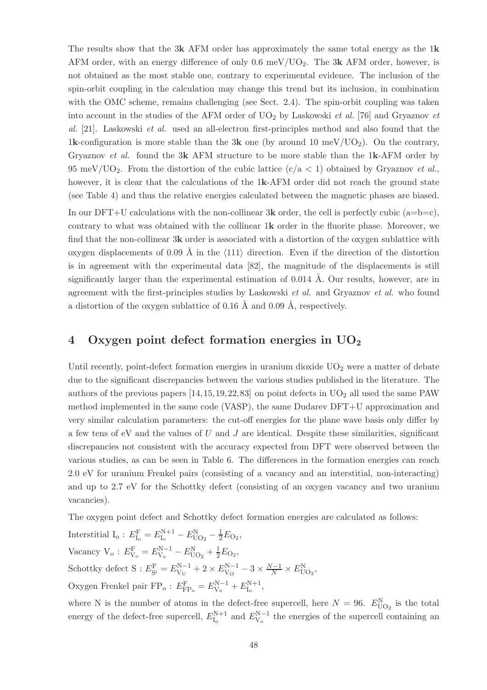The results show that the  $3k$  AFM order has approximately the same total energy as the  $1k$ AFM order, with an energy difference of only  $0.6 \text{ meV/UO}_2$ . The 3k AFM order, however, is not obtained as the most stable one, contrary to experimental evidence. The inclusion of the spin-orbit coupling in the calculation may change this trend but its inclusion, in combination with the OMC scheme, remains challenging (see Sect. 2.4). The spin-orbit coupling was taken into account in the studies of the AFM order of UO<sup>2</sup> by Laskowski *et al.* [76] and Gryaznov *et al.* [21]. Laskowski *et al.* used an all-electron first-principles method and also found that the 1k-configuration is more stable than the 3k one (by around 10 meV/UO<sub>2</sub>). On the contrary, Gryaznov *et al.* found the 3k AFM structure to be more stable than the 1k-AFM order by 95 meV/UO<sub>2</sub>. From the distortion of the cubic lattice  $(c/a < 1)$  obtained by Gryaznov *et al.*, however, it is clear that the calculations of the 1k-AFM order did not reach the ground state (see Table 4) and thus the relative energies calculated between the magnetic phases are biased.

In our DFT+U calculations with the non-collinear  $3k$  order, the cell is perfectly cubic  $(a=b=c)$ , contrary to what was obtained with the collinear 1k order in the fluorite phase. Moreover, we find that the non-collinear 3k order is associated with a distortion of the oxygen sublattice with oxygen displacements of 0.09 Å in the  $\langle 111 \rangle$  direction. Even if the direction of the distortion is in agreement with the experimental data [82], the magnitude of the displacements is still significantly larger than the experimental estimation of  $0.014$  Å. Our results, however, are in agreement with the first-principles studies by Laskowski *et al.* and Gryaznov *et al.* who found a distortion of the oxygen sublattice of 0.16 Å and 0.09 Å, respectively.

# 4 Oxygen point defect formation energies in  $UO<sub>2</sub>$

Until recently, point-defect formation energies in uranium dioxide  $UO<sub>2</sub>$  were a matter of debate due to the significant discrepancies between the various studies published in the literature. The authors of the previous papers  $[14, 15, 19, 22, 83]$  on point defects in  $UO<sub>2</sub>$  all used the same PAW method implemented in the same code (VASP), the same Dudarev DFT+U approximation and very similar calculation parameters: the cut-off energies for the plane wave basis only differ by a few tens of  $eV$  and the values of  $U$  and  $J$  are identical. Despite these similarities, significant discrepancies not consistent with the accuracy expected from DFT were observed between the various studies, as can be seen in Table 6. The differences in the formation energies can reach 2.0 eV for uranium Frenkel pairs (consisting of a vacancy and an interstitial, non-interacting) and up to 2.7 eV for the Schottky defect (consisting of an oxygen vacancy and two uranium vacancies).

The oxygen point defect and Schottky defect formation energies are calculated as follows:

Interstitial I<sub>o</sub>:  $E_{I_o}^{\text{F}} = E_{I_o}^{\text{N}+1} - E_{UO_2}^{\text{N}} - \frac{1}{2}E_{O_2}$ , Vacancy  $V_o: E_{V_o}^F = E_{V_o}^{N-1}$  $V_o^{N-1} - E_{UO_2}^{N} + \frac{1}{2}E_{O_2},$ Schottky defect  $S: E_{S^i}^F = E_{V_U}^{N-1}$  $V_{\rm U}^{N-1} + 2 \times E_{\rm V_O}^{N-1}$  $\frac{N-1}{V_{\rm O}} - 3 \times \frac{N-1}{N} \times E_{\rm UO_2}^{N}$ Oxygen Frenkel pair  $\text{FP}_o : E_{\text{FP}_o}^{\text{F}} = E_{V_o}^{\text{N}-1} + E_{I_o}^{\text{N}+1}$ ,

where N is the number of atoms in the defect-free supercell, here  $N = 96$ .  $E_{\text{UO}_2}^{\text{N}}$  is the total energy of the defect-free supercell,  $E_{I_o}^{N+1}$  and  $E_{V_o}^{N-1}$  the energies of the supercell containing an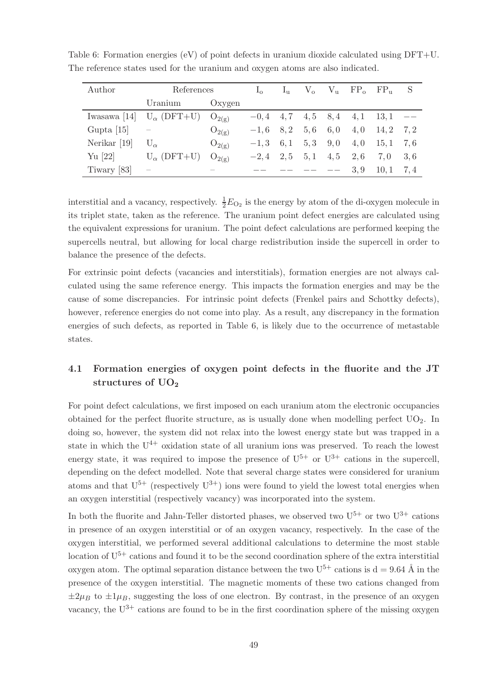| Author       | References                                   |                 |                             | $\perp_{11}$ |                |     |     | $V_o$ $V_u$ $FP_o$ $FP_u$ S |     |
|--------------|----------------------------------------------|-----------------|-----------------------------|--------------|----------------|-----|-----|-----------------------------|-----|
|              | Uranium                                      | Oxygen          |                             |              |                |     |     |                             |     |
|              | Iwasawa [14] $U_{\alpha}$ (DFT+U) $O_{2(g)}$ |                 | $-0, 4$ 4, 7 4, 5 8, 4 4, 1 |              |                |     |     | $13,1$ --                   |     |
| Gupta $[15]$ |                                              | $O_{2(g)}$      | $-1, 6$ 8, 2                |              | 5,6            | 6,0 | 4,0 | 14, 2                       | 7.2 |
| Nerikar [19] | $U_{\alpha}$                                 | $O_{2(g)}$      | $-1,3$ 6, 1                 |              | $5,3\quad 9,0$ |     | 4,0 | 15.1                        | 7.6 |
| Yu $[22]$    | $U_{\alpha}$ (DFT+U)                         | $O_{2(\sigma)}$ | $-2, 4$ 2.5                 |              | 5, 1           | 4,5 | 2,6 | 7.0                         | 3.6 |
| Tiwary [83]  |                                              |                 |                             |              |                |     | 3.9 | 10, 1                       | 7.4 |

Table 6: Formation energies (eV) of point defects in uranium dioxide calculated using DFT+U. The reference states used for the uranium and oxygen atoms are also indicated.

interstitial and a vacancy, respectively.  $\frac{1}{2}E_{\text{O}_2}$  is the energy by atom of the di-oxygen molecule in its triplet state, taken as the reference. The uranium point defect energies are calculated using the equivalent expressions for uranium. The point defect calculations are performed keeping the supercells neutral, but allowing for local charge redistribution inside the supercell in order to balance the presence of the defects.

For extrinsic point defects (vacancies and interstitials), formation energies are not always calculated using the same reference energy. This impacts the formation energies and may be the cause of some discrepancies. For intrinsic point defects (Frenkel pairs and Schottky defects), however, reference energies do not come into play. As a result, any discrepancy in the formation energies of such defects, as reported in Table 6, is likely due to the occurrence of metastable states.

# 4.1 Formation energies of oxygen point defects in the fluorite and the JT structures of UO<sub>2</sub>

For point defect calculations, we first imposed on each uranium atom the electronic occupancies obtained for the perfect fluorite structure, as is usually done when modelling perfect  $UO<sub>2</sub>$ . In doing so, however, the system did not relax into the lowest energy state but was trapped in a state in which the  $U^{4+}$  oxidation state of all uranium ions was preserved. To reach the lowest energy state, it was required to impose the presence of  $U^{5+}$  or  $U^{3+}$  cations in the supercell, depending on the defect modelled. Note that several charge states were considered for uranium atoms and that  $U^{5+}$  (respectively  $U^{3+}$ ) ions were found to yield the lowest total energies when an oxygen interstitial (respectively vacancy) was incorporated into the system.

In both the fluorite and Jahn-Teller distorted phases, we observed two  $U^{5+}$  or two  $U^{3+}$  cations in presence of an oxygen interstitial or of an oxygen vacancy, respectively. In the case of the oxygen interstitial, we performed several additional calculations to determine the most stable location of  $U^{5+}$  cations and found it to be the second coordination sphere of the extra interstitial oxygen atom. The optimal separation distance between the two  $U^{5+}$  cations is  $d = 9.64$  Å in the presence of the oxygen interstitial. The magnetic moments of these two cations changed from  $\pm 2\mu_B$  to  $\pm 1\mu_B$ , suggesting the loss of one electron. By contrast, in the presence of an oxygen vacancy, the  $U^{3+}$  cations are found to be in the first coordination sphere of the missing oxygen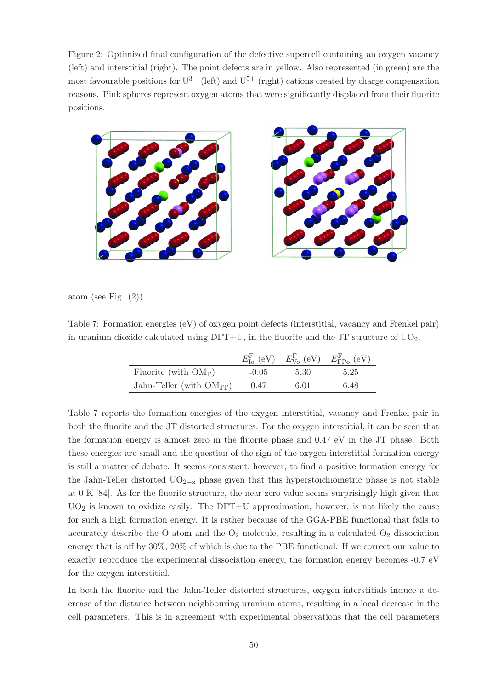Figure 2: Optimized final configuration of the defective supercell containing an oxygen vacancy (left) and interstitial (right). The point defects are in yellow. Also represented (in green) are the most favourable positions for  $U^{3+}$  (left) and  $U^{5+}$  (right) cations created by charge compensation reasons. Pink spheres represent oxygen atoms that were significantly displaced from their fluorite positions.



atom (see Fig.  $(2)$ ).

Table 7: Formation energies (eV) of oxygen point defects (interstitial, vacancy and Frenkel pair) in uranium dioxide calculated using  $DFT+U$ , in the fluorite and the JT structure of  $UO<sub>2</sub>$ .

|                               |         |      | $E_{\text{Io}}^{\text{F}}$ (eV) $E_{\text{Vo}}^{\text{F}}$ (eV) $E_{\text{FPo}}^{\text{F}}$ (eV) |
|-------------------------------|---------|------|--------------------------------------------------------------------------------------------------|
| Fluorite (with $OM_F$ )       | $-0.05$ | 5.30 | 5.25                                                                                             |
| Jahn-Teller (with $OM_{JT}$ ) | 0.47    | 6.01 | 6.48                                                                                             |

Table 7 reports the formation energies of the oxygen interstitial, vacancy and Frenkel pair in both the fluorite and the JT distorted structures. For the oxygen interstitial, it can be seen that the formation energy is almost zero in the fluorite phase and 0.47 eV in the JT phase. Both these energies are small and the question of the sign of the oxygen interstitial formation energy is still a matter of debate. It seems consistent, however, to find a positive formation energy for the Jahn-Teller distorted  $UO_{2+x}$  phase given that this hyperstoichiometric phase is not stable at 0 K [84]. As for the fluorite structure, the near zero value seems surprisingly high given that  $UO<sub>2</sub>$  is known to oxidize easily. The DFT+U approximation, however, is not likely the cause for such a high formation energy. It is rather because of the GGA-PBE functional that fails to accurately describe the O atom and the  $O_2$  molecule, resulting in a calculated  $O_2$  dissociation energy that is off by 30%, 20% of which is due to the PBE functional. If we correct our value to exactly reproduce the experimental dissociation energy, the formation energy becomes -0.7 eV for the oxygen interstitial.

In both the fluorite and the Jahn-Teller distorted structures, oxygen interstitials induce a decrease of the distance between neighbouring uranium atoms, resulting in a local decrease in the cell parameters. This is in agreement with experimental observations that the cell parameters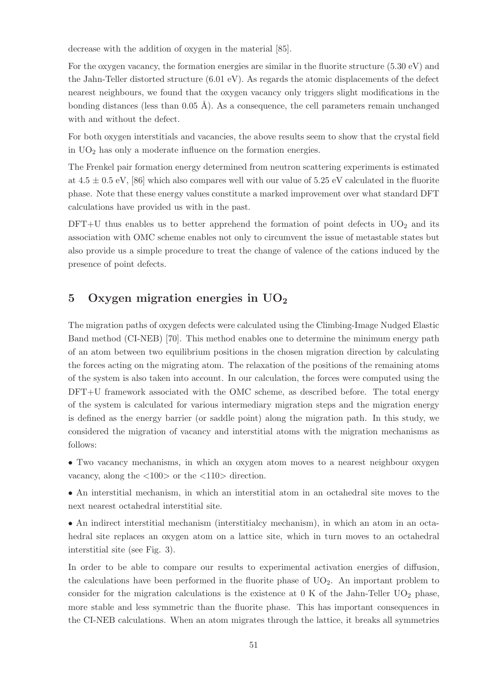decrease with the addition of oxygen in the material [85].

For the oxygen vacancy, the formation energies are similar in the fluorite structure (5.30 eV) and the Jahn-Teller distorted structure (6.01 eV). As regards the atomic displacements of the defect nearest neighbours, we found that the oxygen vacancy only triggers slight modifications in the bonding distances (less than  $0.05 \text{ Å}$ ). As a consequence, the cell parameters remain unchanged with and without the defect.

For both oxygen interstitials and vacancies, the above results seem to show that the crystal field in  $UO<sub>2</sub>$  has only a moderate influence on the formation energies.

The Frenkel pair formation energy determined from neutron scattering experiments is estimated at  $4.5 \pm 0.5$  eV, [86] which also compares well with our value of 5.25 eV calculated in the fluorite phase. Note that these energy values constitute a marked improvement over what standard DFT calculations have provided us with in the past.

 $DFT+U$  thus enables us to better apprehend the formation of point defects in  $UO<sub>2</sub>$  and its association with OMC scheme enables not only to circumvent the issue of metastable states but also provide us a simple procedure to treat the change of valence of the cations induced by the presence of point defects.

# 5 Oxygen migration energies in  $UO<sub>2</sub>$

The migration paths of oxygen defects were calculated using the Climbing-Image Nudged Elastic Band method (CI-NEB) [70]. This method enables one to determine the minimum energy path of an atom between two equilibrium positions in the chosen migration direction by calculating the forces acting on the migrating atom. The relaxation of the positions of the remaining atoms of the system is also taken into account. In our calculation, the forces were computed using the DFT+U framework associated with the OMC scheme, as described before. The total energy of the system is calculated for various intermediary migration steps and the migration energy is defined as the energy barrier (or saddle point) along the migration path. In this study, we considered the migration of vacancy and interstitial atoms with the migration mechanisms as follows:

• Two vacancy mechanisms, in which an oxygen atom moves to a nearest neighbour oxygen vacancy, along the  $\langle 100 \rangle$  or the  $\langle 110 \rangle$  direction.

• An interstitial mechanism, in which an interstitial atom in an octahedral site moves to the next nearest octahedral interstitial site.

• An indirect interstitial mechanism (interstitialcy mechanism), in which an atom in an octahedral site replaces an oxygen atom on a lattice site, which in turn moves to an octahedral interstitial site (see Fig. 3).

In order to be able to compare our results to experimental activation energies of diffusion, the calculations have been performed in the fluorite phase of  $UO<sub>2</sub>$ . An important problem to consider for the migration calculations is the existence at  $0 \text{ K}$  of the Jahn-Teller UO<sub>2</sub> phase, more stable and less symmetric than the fluorite phase. This has important consequences in the CI-NEB calculations. When an atom migrates through the lattice, it breaks all symmetries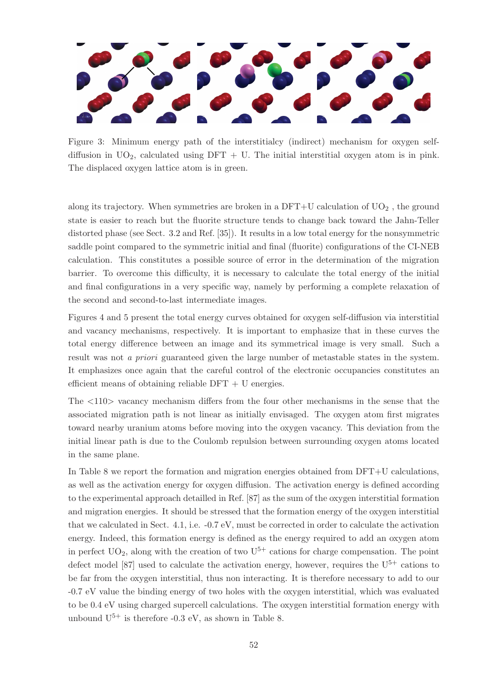

Figure 3: Minimum energy path of the interstitialcy (indirect) mechanism for oxygen selfdiffusion in  $UO_2$ , calculated using DFT + U. The initial interstitial oxygen atom is in pink. The displaced oxygen lattice atom is in green.

along its trajectory. When symmetries are broken in a  $DFT+U$  calculation of  $UO<sub>2</sub>$ , the ground state is easier to reach but the fluorite structure tends to change back toward the Jahn-Teller distorted phase (see Sect. 3.2 and Ref. [35]). It results in a low total energy for the nonsymmetric saddle point compared to the symmetric initial and final (fluorite) configurations of the CI-NEB calculation. This constitutes a possible source of error in the determination of the migration barrier. To overcome this difficulty, it is necessary to calculate the total energy of the initial and final configurations in a very specific way, namely by performing a complete relaxation of the second and second-to-last intermediate images.

Figures 4 and 5 present the total energy curves obtained for oxygen self-diffusion via interstitial and vacancy mechanisms, respectively. It is important to emphasize that in these curves the total energy difference between an image and its symmetrical image is very small. Such a result was not *a priori* guaranteed given the large number of metastable states in the system. It emphasizes once again that the careful control of the electronic occupancies constitutes an efficient means of obtaining reliable  $DFT + U$  energies.

The <110> vacancy mechanism differs from the four other mechanisms in the sense that the associated migration path is not linear as initially envisaged. The oxygen atom first migrates toward nearby uranium atoms before moving into the oxygen vacancy. This deviation from the initial linear path is due to the Coulomb repulsion between surrounding oxygen atoms located in the same plane.

In Table 8 we report the formation and migration energies obtained from DFT+U calculations, as well as the activation energy for oxygen diffusion. The activation energy is defined according to the experimental approach detailled in Ref. [87] as the sum of the oxygen interstitial formation and migration energies. It should be stressed that the formation energy of the oxygen interstitial that we calculated in Sect. 4.1, i.e. -0.7 eV, must be corrected in order to calculate the activation energy. Indeed, this formation energy is defined as the energy required to add an oxygen atom in perfect  $UO_2$ , along with the creation of two  $U^{5+}$  cations for charge compensation. The point defect model [87] used to calculate the activation energy, however, requires the  $U^{5+}$  cations to be far from the oxygen interstitial, thus non interacting. It is therefore necessary to add to our -0.7 eV value the binding energy of two holes with the oxygen interstitial, which was evaluated to be 0.4 eV using charged supercell calculations. The oxygen interstitial formation energy with unbound  $U^{5+}$  is therefore -0.3 eV, as shown in Table 8.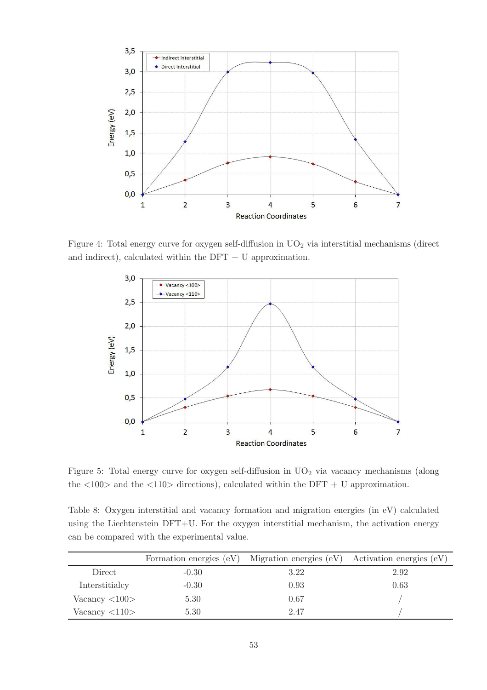

Figure 4: Total energy curve for oxygen self-diffusion in  $UO<sub>2</sub>$  via interstitial mechanisms (direct and indirect), calculated within the  $DFT + U$  approximation.



Figure 5: Total energy curve for oxygen self-diffusion in  $UO<sub>2</sub>$  via vacancy mechanisms (along the  $\langle 100 \rangle$  and the  $\langle 110 \rangle$  directions), calculated within the DFT + U approximation.

Table 8: Oxygen interstitial and vacancy formation and migration energies (in eV) calculated using the Liechtenstein DFT+U. For the oxygen interstitial mechanism, the activation energy can be compared with the experimental value.

|                               |         | Formation energies (eV) Migration energies (eV) Activation energies (eV) |      |
|-------------------------------|---------|--------------------------------------------------------------------------|------|
| Direct                        | $-0.30$ | 3.22                                                                     | 2.92 |
| Interstitialcy                | $-0.30$ | 0.93                                                                     | 0.63 |
| Vacancy $\langle 100 \rangle$ | 5.30    | 0.67                                                                     |      |
| Vacancy $\langle 110 \rangle$ | 5.30    | 2.47                                                                     |      |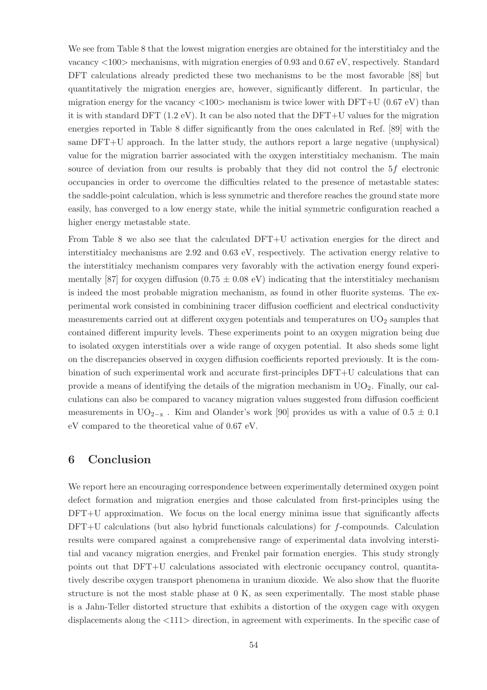We see from Table 8 that the lowest migration energies are obtained for the interstitialcy and the vacancy <100> mechanisms, with migration energies of 0.93 and 0.67 eV, respectively. Standard DFT calculations already predicted these two mechanisms to be the most favorable [88] but quantitatively the migration energies are, however, significantly different. In particular, the migration energy for the vacancy  $\langle 100 \rangle$  mechanism is twice lower with DFT+U (0.67 eV) than it is with standard DFT  $(1.2 \text{ eV})$ . It can be also noted that the DFT+U values for the migration energies reported in Table 8 differ significantly from the ones calculated in Ref. [89] with the same DFT+U approach. In the latter study, the authors report a large negative (unphysical) value for the migration barrier associated with the oxygen interstitialcy mechanism. The main source of deviation from our results is probably that they did not control the 5f electronic occupancies in order to overcome the difficulties related to the presence of metastable states: the saddle-point calculation, which is less symmetric and therefore reaches the ground state more easily, has converged to a low energy state, while the initial symmetric configuration reached a higher energy metastable state.

From Table 8 we also see that the calculated DFT+U activation energies for the direct and interstitialcy mechanisms are 2.92 and 0.63 eV, respectively. The activation energy relative to the interstitialcy mechanism compares very favorably with the activation energy found experimentally [87] for oxygen diffusion  $(0.75 \pm 0.08 \text{ eV})$  indicating that the interstitialcy mechanism is indeed the most probable migration mechanism, as found in other fluorite systems. The experimental work consisted in combinining tracer diffusion coefficient and electrical conductivity measurements carried out at different oxygen potentials and temperatures on  $UO<sub>2</sub>$  samples that contained different impurity levels. These experiments point to an oxygen migration being due to isolated oxygen interstitials over a wide range of oxygen potential. It also sheds some light on the discrepancies observed in oxygen diffusion coefficients reported previously. It is the combination of such experimental work and accurate first-principles DFT+U calculations that can provide a means of identifying the details of the migration mechanism in  $UO<sub>2</sub>$ . Finally, our calculations can also be compared to vacancy migration values suggested from diffusion coefficient measurements in  $UO_{2-x}$ . Kim and Olander's work [90] provides us with a value of  $0.5 \pm 0.1$ eV compared to the theoretical value of 0.67 eV.

## 6 Conclusion

We report here an encouraging correspondence between experimentally determined oxygen point defect formation and migration energies and those calculated from first-principles using the DFT+U approximation. We focus on the local energy minima issue that significantly affects DFT+U calculations (but also hybrid functionals calculations) for f-compounds. Calculation results were compared against a comprehensive range of experimental data involving interstitial and vacancy migration energies, and Frenkel pair formation energies. This study strongly points out that DFT+U calculations associated with electronic occupancy control, quantitatively describe oxygen transport phenomena in uranium dioxide. We also show that the fluorite structure is not the most stable phase at 0 K, as seen experimentally. The most stable phase is a Jahn-Teller distorted structure that exhibits a distortion of the oxygen cage with oxygen displacements along the <111> direction, in agreement with experiments. In the specific case of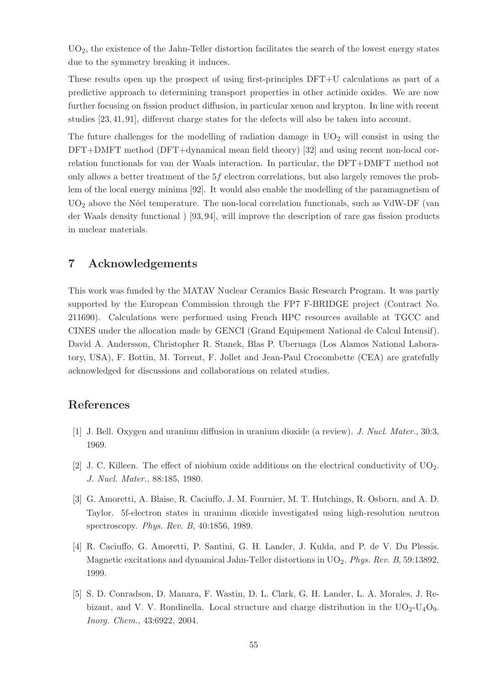UO2, the existence of the Jahn-Teller distortion facilitates the search of the lowest energy states due to the symmetry breaking it induces.

These results open up the prospect of using first-principles DFT+U calculations as part of a predictive approach to determining transport properties in other actinide oxides. We are now further focusing on fission product diffusion, in particular xenon and krypton. In line with recent studies [23, 41, 91], different charge states for the defects will also be taken into account.

The future challenges for the modelling of radiation damage in  $UO<sub>2</sub>$  will consist in using the DFT+DMFT method (DFT+dynamical mean field theory) [32] and using recent non-local correlation functionals for van der Waals interaction. In particular, the DFT+DMFT method not only allows a better treatment of the 5f electron correlations, but also largely removes the problem of the local energy minima [92]. It would also enable the modelling of the paramagnetism of  $UO<sub>2</sub>$  above the Néel temperature. The non-local correlation functionals, such as VdW-DF (van der Waals density functional ) [93, 94], will improve the description of rare gas fission products in nuclear materials.

# 7 Acknowledgements

This work was funded by the MATAV Nuclear Ceramics Basic Research Program. It was partly supported by the European Commission through the FP7 F-BRIDGE project (Contract No. 211690). Calculations were performed using French HPC resources available at TGCC and CINES under the allocation made by GENCI (Grand Equipement National de Calcul Intensif). David A. Andersson, Christopher R. Stanek, Blas P. Uberuaga (Los Alamos National Laboratory, USA), F. Bottin, M. Torrent, F. Jollet and Jean-Paul Crocombette (CEA) are gratefully acknowledged for discussions and collaborations on related studies.

## References

- [1] J. Bell. Oxygen and uranium diffusion in uranium dioxide (a review). *J. Nucl. Mater.*, 30:3, 1969.
- [2] J. C. Killeen. The effect of niobium oxide additions on the electrical conductivity of UO<sub>2</sub>. *J. Nucl. Mater.*, 88:185, 1980.
- [3] G. Amoretti, A. Blaise, R. Caciuffo, J. M. Fournier, M. T. Hutchings, R. Osborn, and A. D. Taylor. 5f-electron states in uranium dioxide investigated using high-resolution neutron spectroscopy. *Phys. Rev. B*, 40:1856, 1989.
- [4] R. Caciuffo, G. Amoretti, P. Santini, G. H. Lander, J. Kulda, and P. de V. Du Plessis. Magnetic excitations and dynamical Jahn-Teller distortions in UO2. *Phys. Rev. B*, 59:13892, 1999.
- [5] S. D. Conradson, D. Manara, F. Wastin, D. L. Clark, G. H. Lander, L. A. Morales, J. Rebizant, and V. V. Rondinella. Local structure and charge distribution in the  $UO_2-U_4O_9$ . *Inorg. Chem.*, 43:6922, 2004.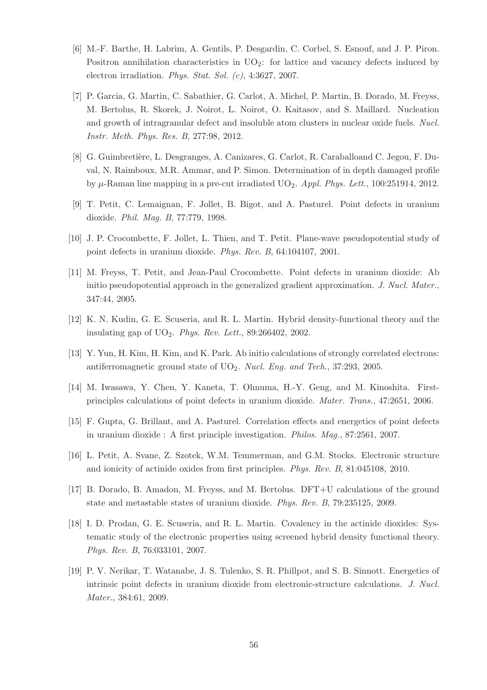- [6] M.-F. Barthe, H. Labrim, A. Gentils, P. Desgardin, C. Corbel, S. Esnouf, and J. P. Piron. Positron annihilation characteristics in  $UO<sub>2</sub>$ : for lattice and vacancy defects induced by electron irradiation. *Phys. Stat. Sol. (c)*, 4:3627, 2007.
- [7] P. Garcia, G. Martin, C. Sabathier, G. Carlot, A. Michel, P. Martin, B. Dorado, M. Freyss, M. Bertolus, R. Skorek, J. Noirot, L. Noirot, O. Kaitasov, and S. Maillard. Nucleation and growth of intragranular defect and insoluble atom clusters in nuclear oxide fuels. *Nucl. Instr. Meth. Phys. Res. B*, 277:98, 2012.
- [8] G. Guimbretière, L. Desgranges, A. Canizares, G. Carlot, R. Caraballoand C. Jegou, F. Duval, N. Raimboux, M.R. Ammar, and P. Simon. Determination of in depth damaged profile by  $\mu$ -Raman line mapping in a pre-cut irradiated UO<sub>2</sub>. *Appl. Phys. Lett.*, 100:251914, 2012.
- [9] T. Petit, C. Lemaignan, F. Jollet, B. Bigot, and A. Pasturel. Point defects in uranium dioxide. *Phil. Mag. B*, 77:779, 1998.
- [10] J. P. Crocombette, F. Jollet, L. Thien, and T. Petit. Plane-wave pseudopotential study of point defects in uranium dioxide. *Phys. Rev. B*, 64:104107, 2001.
- [11] M. Freyss, T. Petit, and Jean-Paul Crocombette. Point defects in uranium dioxide: Ab initio pseudopotential approach in the generalized gradient approximation. *J. Nucl. Mater.*, 347:44, 2005.
- [12] K. N. Kudin, G. E. Scuseria, and R. L. Martin. Hybrid density-functional theory and the insulating gap of UO2. *Phys. Rev. Lett.*, 89:266402, 2002.
- [13] Y. Yun, H. Kim, H. Kim, and K. Park. Ab initio calculations of strongly correlated electrons: antiferromagnetic ground state of UO2. *Nucl. Eng. and Tech.*, 37:293, 2005.
- [14] M. Iwasawa, Y. Chen, Y. Kaneta, T. Ohnuma, H.-Y. Geng, and M. Kinoshita. Firstprinciples calculations of point defects in uranium dioxide. *Mater. Trans.*, 47:2651, 2006.
- [15] F. Gupta, G. Brillant, and A. Pasturel. Correlation effects and energetics of point defects in uranium dioxide : A first principle investigation. *Philos. Mag.*, 87:2561, 2007.
- [16] L. Petit, A. Svane, Z. Szotek, W.M. Temmerman, and G.M. Stocks. Electronic structure and ionicity of actinide oxides from first principles. *Phys. Rev. B*, 81:045108, 2010.
- [17] B. Dorado, B. Amadon, M. Freyss, and M. Bertolus. DFT+U calculations of the ground state and metastable states of uranium dioxide. *Phys. Rev. B*, 79:235125, 2009.
- [18] I. D. Prodan, G. E. Scuseria, and R. L. Martin. Covalency in the actinide dioxides: Systematic study of the electronic properties using screened hybrid density functional theory. *Phys. Rev. B*, 76:033101, 2007.
- [19] P. V. Nerikar, T. Watanabe, J. S. Tulenko, S. R. Phillpot, and S. B. Sinnott. Energetics of intrinsic point defects in uranium dioxide from electronic-structure calculations. *J. Nucl. Mater.*, 384:61, 2009.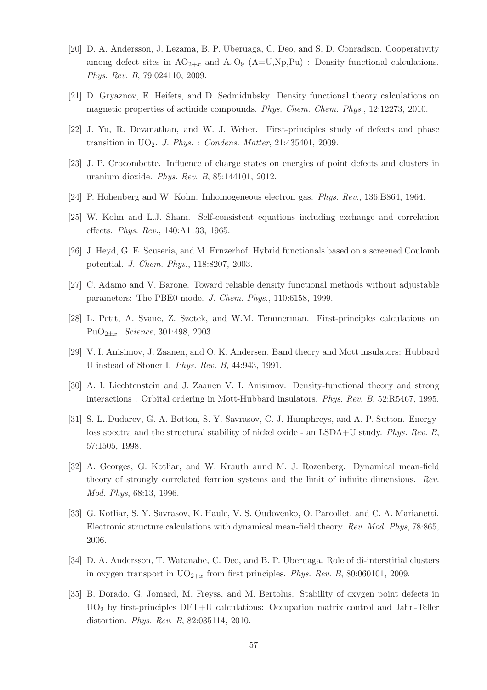- [20] D. A. Andersson, J. Lezama, B. P. Uberuaga, C. Deo, and S. D. Conradson. Cooperativity among defect sites in  $AO_{2+x}$  and  $A_4O_9$  (A=U,Np,Pu) : Density functional calculations. *Phys. Rev. B*, 79:024110, 2009.
- [21] D. Gryaznov, E. Heifets, and D. Sedmidubsky. Density functional theory calculations on magnetic properties of actinide compounds. *Phys. Chem. Chem. Phys.*, 12:12273, 2010.
- [22] J. Yu, R. Devanathan, and W. J. Weber. First-principles study of defects and phase transition in UO2. *J. Phys. : Condens. Matter*, 21:435401, 2009.
- [23] J. P. Crocombette. Influence of charge states on energies of point defects and clusters in uranium dioxide. *Phys. Rev. B*, 85:144101, 2012.
- [24] P. Hohenberg and W. Kohn. Inhomogeneous electron gas. *Phys. Rev.*, 136:B864, 1964.
- [25] W. Kohn and L.J. Sham. Self-consistent equations including exchange and correlation effects. *Phys. Rev.*, 140:A1133, 1965.
- [26] J. Heyd, G. E. Scuseria, and M. Ernzerhof. Hybrid functionals based on a screened Coulomb potential. *J. Chem. Phys.*, 118:8207, 2003.
- [27] C. Adamo and V. Barone. Toward reliable density functional methods without adjustable parameters: The PBE0 mode. *J. Chem. Phys.*, 110:6158, 1999.
- [28] L. Petit, A. Svane, Z. Szotek, and W.M. Temmerman. First-principles calculations on PuO2±x. *Science*, 301:498, 2003.
- [29] V. I. Anisimov, J. Zaanen, and O. K. Andersen. Band theory and Mott insulators: Hubbard U instead of Stoner I. *Phys. Rev. B*, 44:943, 1991.
- [30] A. I. Liechtenstein and J. Zaanen V. I. Anisimov. Density-functional theory and strong interactions : Orbital ordering in Mott-Hubbard insulators. *Phys. Rev. B*, 52:R5467, 1995.
- [31] S. L. Dudarev, G. A. Botton, S. Y. Savrasov, C. J. Humphreys, and A. P. Sutton. Energyloss spectra and the structural stability of nickel oxide - an LSDA+U study. *Phys. Rev. B*, 57:1505, 1998.
- [32] A. Georges, G. Kotliar, and W. Krauth annd M. J. Rozenberg. Dynamical mean-field theory of strongly correlated fermion systems and the limit of infinite dimensions. *Rev. Mod. Phys*, 68:13, 1996.
- [33] G. Kotliar, S. Y. Savrasov, K. Haule, V. S. Oudovenko, O. Parcollet, and C. A. Marianetti. Electronic structure calculations with dynamical mean-field theory. *Rev. Mod. Phys*, 78:865, 2006.
- [34] D. A. Andersson, T. Watanabe, C. Deo, and B. P. Uberuaga. Role of di-interstitial clusters in oxygen transport in  $UO_{2+x}$  from first principles. *Phys. Rev. B*, 80:060101, 2009.
- [35] B. Dorado, G. Jomard, M. Freyss, and M. Bertolus. Stability of oxygen point defects in UO<sup>2</sup> by first-principles DFT+U calculations: Occupation matrix control and Jahn-Teller distortion. *Phys. Rev. B*, 82:035114, 2010.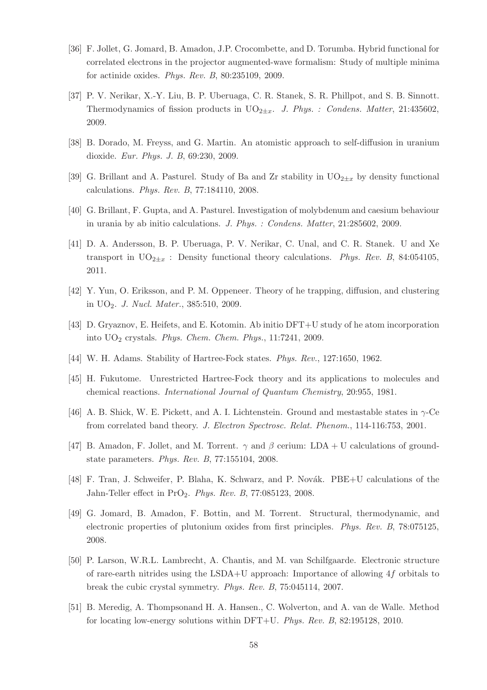- [36] F. Jollet, G. Jomard, B. Amadon, J.P. Crocombette, and D. Torumba. Hybrid functional for correlated electrons in the projector augmented-wave formalism: Study of multiple minima for actinide oxides. *Phys. Rev. B*, 80:235109, 2009.
- [37] P. V. Nerikar, X.-Y. Liu, B. P. Uberuaga, C. R. Stanek, S. R. Phillpot, and S. B. Sinnott. Thermodynamics of fission products in  $UO_{2+x}$ . *J. Phys. : Condens. Matter*, 21:435602, 2009.
- [38] B. Dorado, M. Freyss, and G. Martin. An atomistic approach to self-diffusion in uranium dioxide. *Eur. Phys. J. B*, 69:230, 2009.
- [39] G. Brillant and A. Pasturel. Study of Ba and Zr stability in  $UO_{2+x}$  by density functional calculations. *Phys. Rev. B*, 77:184110, 2008.
- [40] G. Brillant, F. Gupta, and A. Pasturel. Investigation of molybdenum and caesium behaviour in urania by ab initio calculations. *J. Phys. : Condens. Matter*, 21:285602, 2009.
- [41] D. A. Andersson, B. P. Uberuaga, P. V. Nerikar, C. Unal, and C. R. Stanek. U and Xe transport in  $UO_{2+x}$ : Density functional theory calculations. *Phys. Rev. B*, 84:054105, 2011.
- [42] Y. Yun, O. Eriksson, and P. M. Oppeneer. Theory of he trapping, diffusion, and clustering in UO2. *J. Nucl. Mater.*, 385:510, 2009.
- [43] D. Gryaznov, E. Heifets, and E. Kotomin. Ab initio DFT+U study of he atom incorporation into UO<sup>2</sup> crystals. *Phys. Chem. Chem. Phys.*, 11:7241, 2009.
- [44] W. H. Adams. Stability of Hartree-Fock states. *Phys. Rev.*, 127:1650, 1962.
- [45] H. Fukutome. Unrestricted Hartree-Fock theory and its applications to molecules and chemical reactions. *International Journal of Quantum Chemistry*, 20:955, 1981.
- [46] A. B. Shick, W. E. Pickett, and A. I. Lichtenstein. Ground and mestastable states in  $\gamma$ -Ce from correlated band theory. *J. Electron Spectrosc. Relat. Phenom.*, 114-116:753, 2001.
- [47] B. Amadon, F. Jollet, and M. Torrent.  $\gamma$  and  $\beta$  cerium: LDA + U calculations of groundstate parameters. *Phys. Rev. B*, 77:155104, 2008.
- [48] F. Tran, J. Schweifer, P. Blaha, K. Schwarz, and P. Novák. PBE+U calculations of the Jahn-Teller effect in PrO2. *Phys. Rev. B*, 77:085123, 2008.
- [49] G. Jomard, B. Amadon, F. Bottin, and M. Torrent. Structural, thermodynamic, and electronic properties of plutonium oxides from first principles. *Phys. Rev. B*, 78:075125, 2008.
- [50] P. Larson, W.R.L. Lambrecht, A. Chantis, and M. van Schilfgaarde. Electronic structure of rare-earth nitrides using the LSDA+U approach: Importance of allowing  $4f$  orbitals to break the cubic crystal symmetry. *Phys. Rev. B*, 75:045114, 2007.
- [51] B. Meredig, A. Thompsonand H. A. Hansen., C. Wolverton, and A. van de Walle. Method for locating low-energy solutions within DFT+U. *Phys. Rev. B*, 82:195128, 2010.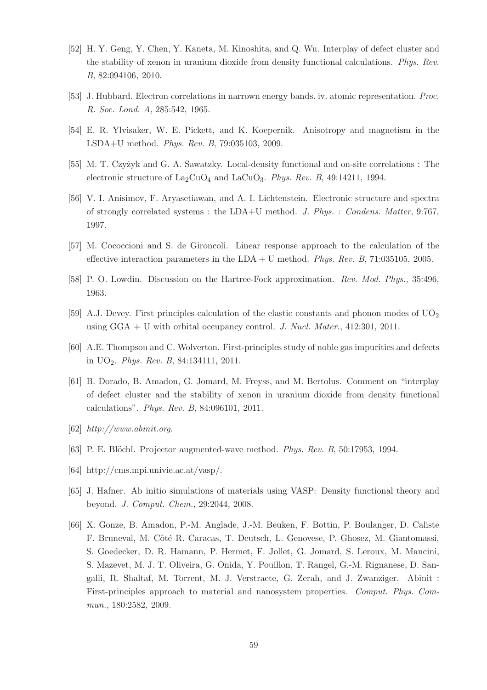- [52] H. Y. Geng, Y. Chen, Y. Kaneta, M. Kinoshita, and Q. Wu. Interplay of defect cluster and the stability of xenon in uranium dioxide from density functional calculations. *Phys. Rev. B*, 82:094106, 2010.
- [53] J. Hubbard. Electron correlations in narrown energy bands. iv. atomic representation. *Proc. R. Soc. Lond. A*, 285:542, 1965.
- [54] E. R. Ylvisaker, W. E. Pickett, and K. Koepernik. Anisotropy and magnetism in the LSDA+U method. *Phys. Rev. B*, 79:035103, 2009.
- [55] M. T. Czyżyk and G. A. Sawatzky. Local-density functional and on-site correlations : The electronic structure of  $La_2CuO_4$  and  $LaCuO_3$ . *Phys. Rev. B*, 49:14211, 1994.
- [56] V. I. Anisimov, F. Aryasetiawan, and A. I. Lichtenstein. Electronic structure and spectra of strongly correlated systems : the LDA+U method. *J. Phys. : Condens. Matter*, 9:767, 1997.
- [57] M. Cococcioni and S. de Gironcoli. Linear response approach to the calculation of the effective interaction parameters in the LDA + U method. *Phys. Rev. B*, 71:035105, 2005.
- [58] P. O. Lowdin. Discussion on the Hartree-Fock approximation. *Rev. Mod. Phys.*, 35:496, 1963.
- [59] A.J. Devey. First principles calculation of the elastic constants and phonon modes of  $UO<sub>2</sub>$ using GGA + U with orbital occupancy control. *J. Nucl. Mater.*, 412:301, 2011.
- [60] A.E. Thompson and C. Wolverton. First-principles study of noble gas impurities and defects in UO2. *Phys. Rev. B*, 84:134111, 2011.
- [61] B. Dorado, B. Amadon, G. Jomard, M. Freyss, and M. Bertolus. Comment on "interplay of defect cluster and the stability of xenon in uranium dioxide from density functional calculations". *Phys. Rev. B*, 84:096101, 2011.
- [62] *http://www.abinit.org*.
- [63] P. E. Blöchl. Projector augmented-wave method. *Phys. Rev. B*, 50:17953, 1994.
- [64] http://cms.mpi.univie.ac.at/vasp/.
- [65] J. Hafner. Ab initio simulations of materials using VASP: Density functional theory and beyond. *J. Comput. Chem.*, 29:2044, 2008.
- [66] X. Gonze, B. Amadon, P.-M. Anglade, J.-M. Beuken, F. Bottin, P. Boulanger, D. Caliste F. Bruneval, M. Côté R. Caracas, T. Deutsch, L. Genovese, P. Ghosez, M. Giantomassi, S. Goedecker, D. R. Hamann, P. Hermet, F. Jollet, G. Jomard, S. Leroux, M. Mancini, S. Mazevet, M. J. T. Oliveira, G. Onida, Y. Pouillon, T. Rangel, G.-M. Rignanese, D. Sangalli, R. Shaltaf, M. Torrent, M. J. Verstraete, G. Zerah, and J. Zwanziger. Abinit : First-principles approach to material and nanosystem properties. *Comput. Phys. Commun.*, 180:2582, 2009.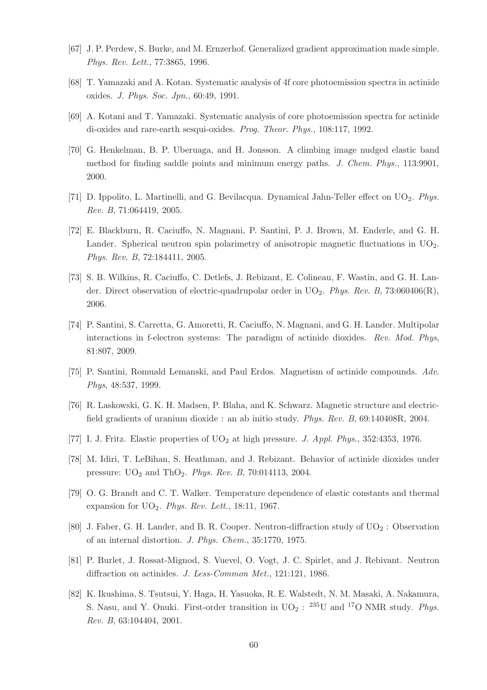- [67] J. P. Perdew, S. Burke, and M. Ernzerhof. Generalized gradient approximation made simple. *Phys. Rev. Lett.*, 77:3865, 1996.
- [68] T. Yamazaki and A. Kotan. Systematic analysis of 4f core photoemission spectra in actinide oxides. *J. Phys. Soc. Jpn.*, 60:49, 1991.
- [69] A. Kotani and T. Yamazaki. Systematic analysis of core photoemission spectra for actinide di-oxides and rare-earth sesqui-oxides. *Prog. Theor. Phys.*, 108:117, 1992.
- [70] G. Henkelman, B. P. Uberuaga, and H. Jonsson. A climbing image nudged elastic band method for finding saddle points and minimum energy paths. *J. Chem. Phys.*, 113:9901, 2000.
- [71] D. Ippolito, L. Martinelli, and G. Bevilacqua. Dynamical Jahn-Teller effect on UO2. *Phys. Rev. B*, 71:064419, 2005.
- [72] E. Blackburn, R. Caciuffo, N. Magnani, P. Santini, P. J. Brown, M. Enderle, and G. H. Lander. Spherical neutron spin polarimetry of anisotropic magnetic fluctuations in  $UO<sub>2</sub>$ . *Phys. Rev. B*, 72:184411, 2005.
- [73] S. B. Wilkins, R. Caciuffo, C. Detlefs, J. Rebizant, E. Colineau, F. Wastin, and G. H. Lander. Direct observation of electric-quadrupolar order in UO<sub>2</sub>. *Phys. Rev. B*, 73:060406(R), 2006.
- [74] P. Santini, S. Carretta, G. Amoretti, R. Caciuffo, N. Magnani, and G. H. Lander. Multipolar interactions in f-electron systems: The paradigm of actinide dioxides. *Rev. Mod. Phys*, 81:807, 2009.
- [75] P. Santini, Romuald Lemanski, and Paul Erdos. Magnetism of actinide compounds. *Adv. Phys*, 48:537, 1999.
- [76] R. Laskowski, G. K. H. Madsen, P. Blaha, and K. Schwarz. Magnetic structure and electricfield gradients of uranium dioxide : an ab initio study. *Phys. Rev. B*, 69:140408R, 2004.
- [77] I. J. Fritz. Elastic properties of UO<sub>2</sub> at high pressure. *J. Appl. Phys.*, 352:4353, 1976.
- [78] M. Idiri, T. LeBihan, S. Heathman, and J. Rebizant. Behavior of actinide dioxides under pressure: UO<sup>2</sup> and ThO2. *Phys. Rev. B*, 70:014113, 2004.
- [79] O. G. Brandt and C. T. Walker. Temperature dependence of elastic constants and thermal expansion for UO2. *Phys. Rev. Lett.*, 18:11, 1967.
- [80] J. Faber, G. H. Lander, and B. R. Cooper. Neutron-diffraction study of  $UO<sub>2</sub>$ : Observation of an internal distortion. *J. Phys. Chem.*, 35:1770, 1975.
- [81] P. Burlet, J. Rossat-Mignod, S. Vuevel, O. Vogt, J. C. Spirlet, and J. Rebivant. Neutron diffraction on actinides. *J. Less-Common Met.*, 121:121, 1986.
- [82] K. Ikushima, S. Tsutsui, Y. Haga, H. Yasuoka, R. E. Walstedt, N. M. Masaki, A. Nakamura, S. Nasu, and Y. Onuki. First-order transition in  $UO_2$ : <sup>235</sup>U and <sup>17</sup>O NMR study. *Phys. Rev. B*, 63:104404, 2001.